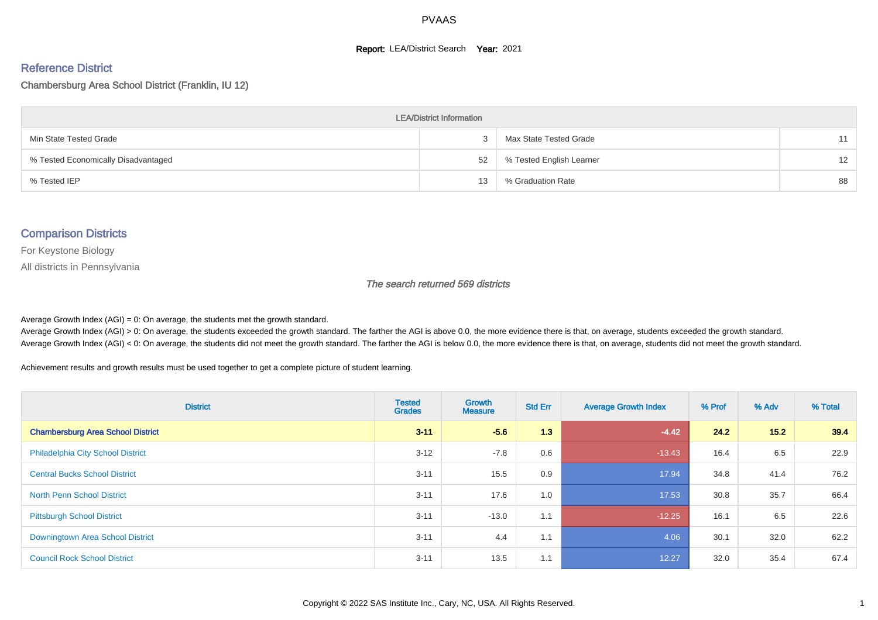#### **Report: LEA/District Search Year: 2021**

#### Reference District

#### Chambersburg Area School District (Franklin, IU 12)

| <b>LEA/District Information</b>     |    |                          |    |  |  |  |  |  |  |  |
|-------------------------------------|----|--------------------------|----|--|--|--|--|--|--|--|
| Min State Tested Grade              |    | Max State Tested Grade   | 11 |  |  |  |  |  |  |  |
| % Tested Economically Disadvantaged | 52 | % Tested English Learner | 12 |  |  |  |  |  |  |  |
| % Tested IEP                        | 13 | % Graduation Rate        | 88 |  |  |  |  |  |  |  |

#### Comparison Districts

For Keystone Biology

All districts in Pennsylvania

The search returned 569 districts

Average Growth Index  $(AGI) = 0$ : On average, the students met the growth standard.

Average Growth Index (AGI) > 0: On average, the students exceeded the growth standard. The farther the AGI is above 0.0, the more evidence there is that, on average, students exceeded the growth standard. Average Growth Index (AGI) < 0: On average, the students did not meet the growth standard. The farther the AGI is below 0.0, the more evidence there is that, on average, students did not meet the growth standard.

Achievement results and growth results must be used together to get a complete picture of student learning.

| <b>District</b>                          | <b>Tested</b><br><b>Grades</b> | <b>Growth</b><br><b>Measure</b> | <b>Std Err</b> | <b>Average Growth Index</b> | % Prof | % Adv | % Total |
|------------------------------------------|--------------------------------|---------------------------------|----------------|-----------------------------|--------|-------|---------|
| <b>Chambersburg Area School District</b> | $3 - 11$                       | $-5.6$                          | 1.3            | $-4.42$                     | 24.2   | 15.2  | 39.4    |
| <b>Philadelphia City School District</b> | $3 - 12$                       | $-7.8$                          | 0.6            | $-13.43$                    | 16.4   | 6.5   | 22.9    |
| <b>Central Bucks School District</b>     | $3 - 11$                       | 15.5                            | 0.9            | 17.94                       | 34.8   | 41.4  | 76.2    |
| <b>North Penn School District</b>        | $3 - 11$                       | 17.6                            | 1.0            | 17.53                       | 30.8   | 35.7  | 66.4    |
| <b>Pittsburgh School District</b>        | $3 - 11$                       | $-13.0$                         | 1.1            | $-12.25$                    | 16.1   | 6.5   | 22.6    |
| Downingtown Area School District         | $3 - 11$                       | 4.4                             | 1.1            | 4.06                        | 30.1   | 32.0  | 62.2    |
| <b>Council Rock School District</b>      | $3 - 11$                       | 13.5                            | 1.1            | 12.27                       | 32.0   | 35.4  | 67.4    |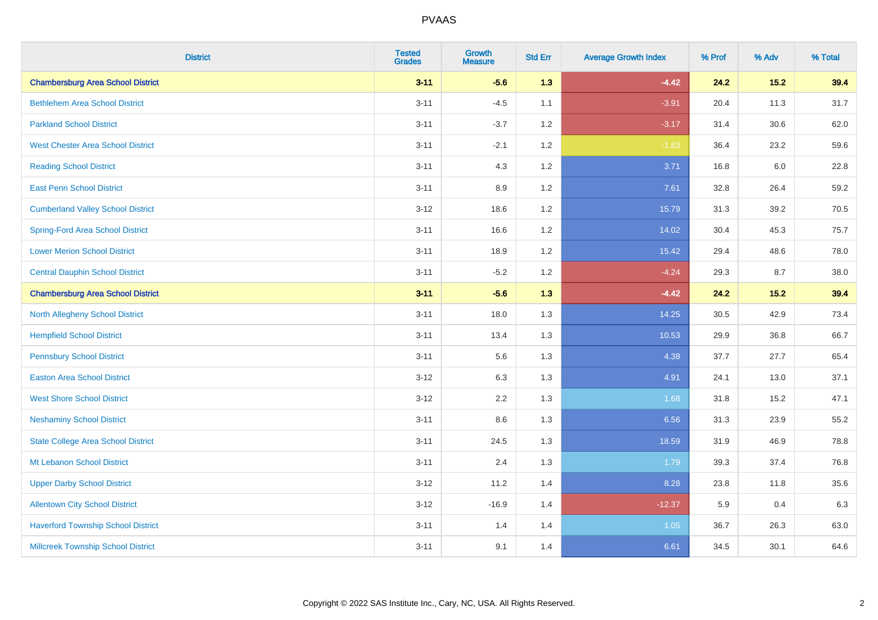| <b>District</b>                           | <b>Tested</b><br><b>Grades</b> | <b>Growth</b><br><b>Measure</b> | <b>Std Err</b> | <b>Average Growth Index</b> | % Prof | % Adv  | % Total |
|-------------------------------------------|--------------------------------|---------------------------------|----------------|-----------------------------|--------|--------|---------|
| <b>Chambersburg Area School District</b>  | $3 - 11$                       | $-5.6$                          | 1.3            | $-4.42$                     | 24.2   | $15.2$ | 39.4    |
| <b>Bethlehem Area School District</b>     | $3 - 11$                       | $-4.5$                          | 1.1            | $-3.91$                     | 20.4   | 11.3   | 31.7    |
| <b>Parkland School District</b>           | $3 - 11$                       | $-3.7$                          | 1.2            | $-3.17$                     | 31.4   | 30.6   | 62.0    |
| <b>West Chester Area School District</b>  | $3 - 11$                       | $-2.1$                          | 1.2            | $-1.83$                     | 36.4   | 23.2   | 59.6    |
| <b>Reading School District</b>            | $3 - 11$                       | 4.3                             | 1.2            | 3.71                        | 16.8   | 6.0    | 22.8    |
| <b>East Penn School District</b>          | $3 - 11$                       | 8.9                             | 1.2            | 7.61                        | 32.8   | 26.4   | 59.2    |
| <b>Cumberland Valley School District</b>  | $3 - 12$                       | 18.6                            | 1.2            | 15.79                       | 31.3   | 39.2   | 70.5    |
| <b>Spring-Ford Area School District</b>   | $3 - 11$                       | 16.6                            | 1.2            | 14.02                       | 30.4   | 45.3   | 75.7    |
| <b>Lower Merion School District</b>       | $3 - 11$                       | 18.9                            | 1.2            | 15.42                       | 29.4   | 48.6   | 78.0    |
| <b>Central Dauphin School District</b>    | $3 - 11$                       | $-5.2$                          | 1.2            | $-4.24$                     | 29.3   | 8.7    | 38.0    |
| <b>Chambersburg Area School District</b>  | $3 - 11$                       | $-5.6$                          | 1.3            | $-4.42$                     | 24.2   | $15.2$ | 39.4    |
| <b>North Allegheny School District</b>    | $3 - 11$                       | 18.0                            | 1.3            | 14.25                       | 30.5   | 42.9   | 73.4    |
| <b>Hempfield School District</b>          | $3 - 11$                       | 13.4                            | 1.3            | 10.53                       | 29.9   | 36.8   | 66.7    |
| <b>Pennsbury School District</b>          | $3 - 11$                       | 5.6                             | 1.3            | 4.38                        | 37.7   | 27.7   | 65.4    |
| <b>Easton Area School District</b>        | $3 - 12$                       | 6.3                             | 1.3            | 4.91                        | 24.1   | 13.0   | 37.1    |
| <b>West Shore School District</b>         | $3 - 12$                       | 2.2                             | 1.3            | 1.68                        | 31.8   | 15.2   | 47.1    |
| <b>Neshaminy School District</b>          | $3 - 11$                       | 8.6                             | 1.3            | 6.56                        | 31.3   | 23.9   | 55.2    |
| <b>State College Area School District</b> | $3 - 11$                       | 24.5                            | 1.3            | 18.59                       | 31.9   | 46.9   | 78.8    |
| Mt Lebanon School District                | $3 - 11$                       | 2.4                             | 1.3            | 1.79                        | 39.3   | 37.4   | 76.8    |
| <b>Upper Darby School District</b>        | $3 - 12$                       | 11.2                            | 1.4            | 8.28                        | 23.8   | 11.8   | 35.6    |
| <b>Allentown City School District</b>     | $3 - 12$                       | $-16.9$                         | 1.4            | $-12.37$                    | 5.9    | 0.4    | 6.3     |
| <b>Haverford Township School District</b> | $3 - 11$                       | 1.4                             | 1.4            | 1.05                        | 36.7   | 26.3   | 63.0    |
| <b>Millcreek Township School District</b> | $3 - 11$                       | 9.1                             | 1.4            | 6.61                        | 34.5   | 30.1   | 64.6    |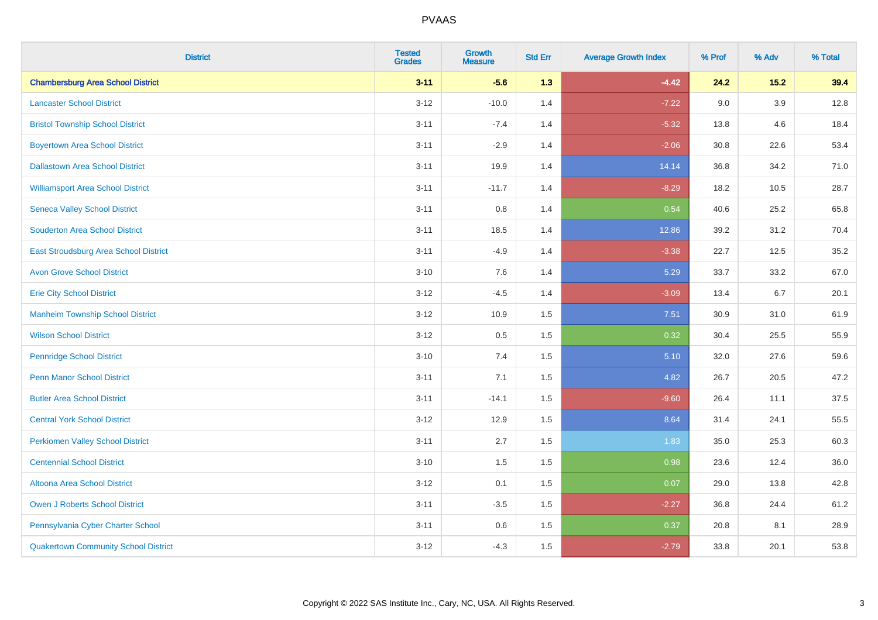| <b>District</b>                             | <b>Tested</b><br><b>Grades</b> | <b>Growth</b><br><b>Measure</b> | <b>Std Err</b> | <b>Average Growth Index</b> | % Prof | % Adv   | % Total |
|---------------------------------------------|--------------------------------|---------------------------------|----------------|-----------------------------|--------|---------|---------|
| <b>Chambersburg Area School District</b>    | $3 - 11$                       | $-5.6$                          | 1.3            | $-4.42$                     | 24.2   | 15.2    | 39.4    |
| <b>Lancaster School District</b>            | $3 - 12$                       | $-10.0$                         | 1.4            | $-7.22$                     | 9.0    | $3.9\,$ | 12.8    |
| <b>Bristol Township School District</b>     | $3 - 11$                       | $-7.4$                          | 1.4            | $-5.32$                     | 13.8   | 4.6     | 18.4    |
| <b>Boyertown Area School District</b>       | $3 - 11$                       | $-2.9$                          | 1.4            | $-2.06$                     | 30.8   | 22.6    | 53.4    |
| <b>Dallastown Area School District</b>      | $3 - 11$                       | 19.9                            | 1.4            | 14.14                       | 36.8   | 34.2    | 71.0    |
| <b>Williamsport Area School District</b>    | $3 - 11$                       | $-11.7$                         | 1.4            | $-8.29$                     | 18.2   | 10.5    | 28.7    |
| <b>Seneca Valley School District</b>        | $3 - 11$                       | 0.8                             | 1.4            | 0.54                        | 40.6   | 25.2    | 65.8    |
| <b>Souderton Area School District</b>       | $3 - 11$                       | 18.5                            | 1.4            | 12.86                       | 39.2   | 31.2    | 70.4    |
| East Stroudsburg Area School District       | $3 - 11$                       | $-4.9$                          | 1.4            | $-3.38$                     | 22.7   | 12.5    | 35.2    |
| <b>Avon Grove School District</b>           | $3 - 10$                       | 7.6                             | 1.4            | 5.29                        | 33.7   | 33.2    | 67.0    |
| <b>Erie City School District</b>            | $3 - 12$                       | $-4.5$                          | 1.4            | $-3.09$                     | 13.4   | 6.7     | 20.1    |
| <b>Manheim Township School District</b>     | $3 - 12$                       | 10.9                            | 1.5            | 7.51                        | 30.9   | 31.0    | 61.9    |
| <b>Wilson School District</b>               | $3 - 12$                       | 0.5                             | 1.5            | 0.32                        | 30.4   | 25.5    | 55.9    |
| <b>Pennridge School District</b>            | $3 - 10$                       | 7.4                             | 1.5            | 5.10                        | 32.0   | 27.6    | 59.6    |
| <b>Penn Manor School District</b>           | $3 - 11$                       | 7.1                             | 1.5            | 4.82                        | 26.7   | 20.5    | 47.2    |
| <b>Butler Area School District</b>          | $3 - 11$                       | $-14.1$                         | 1.5            | $-9.60$                     | 26.4   | 11.1    | 37.5    |
| <b>Central York School District</b>         | $3 - 12$                       | 12.9                            | 1.5            | 8.64                        | 31.4   | 24.1    | 55.5    |
| <b>Perkiomen Valley School District</b>     | $3 - 11$                       | 2.7                             | 1.5            | 1.83                        | 35.0   | 25.3    | 60.3    |
| <b>Centennial School District</b>           | $3 - 10$                       | 1.5                             | 1.5            | 0.98                        | 23.6   | 12.4    | 36.0    |
| Altoona Area School District                | $3-12$                         | 0.1                             | 1.5            | 0.07                        | 29.0   | 13.8    | 42.8    |
| Owen J Roberts School District              | $3 - 11$                       | $-3.5$                          | 1.5            | $-2.27$                     | 36.8   | 24.4    | 61.2    |
| Pennsylvania Cyber Charter School           | $3 - 11$                       | 0.6                             | 1.5            | 0.37                        | 20.8   | 8.1     | 28.9    |
| <b>Quakertown Community School District</b> | $3-12$                         | $-4.3$                          | 1.5            | $-2.79$                     | 33.8   | 20.1    | 53.8    |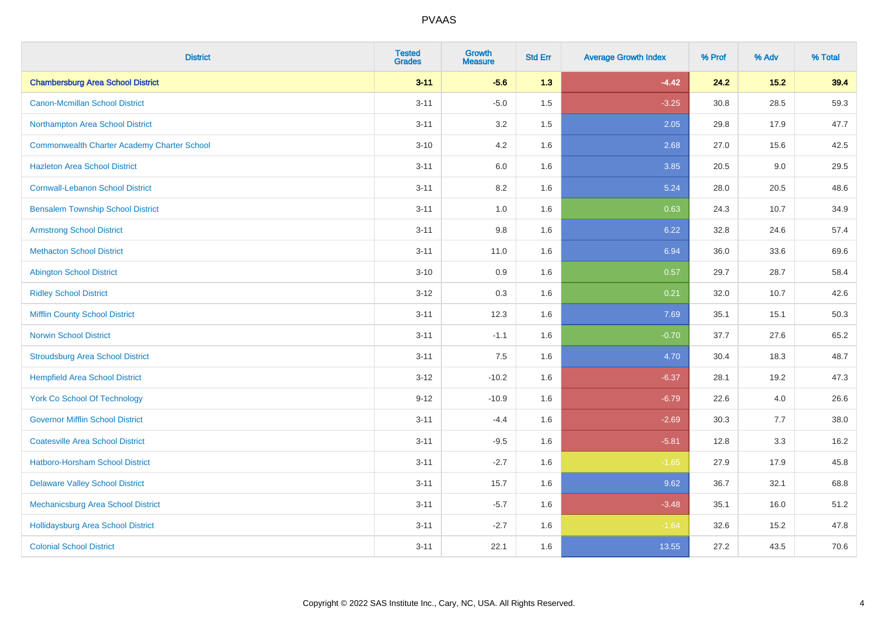| <b>District</b>                                    | <b>Tested</b><br><b>Grades</b> | <b>Growth</b><br><b>Measure</b> | <b>Std Err</b> | <b>Average Growth Index</b> | % Prof | % Adv | % Total |
|----------------------------------------------------|--------------------------------|---------------------------------|----------------|-----------------------------|--------|-------|---------|
| <b>Chambersburg Area School District</b>           | $3 - 11$                       | $-5.6$                          | 1.3            | $-4.42$                     | 24.2   | 15.2  | 39.4    |
| <b>Canon-Mcmillan School District</b>              | $3 - 11$                       | $-5.0$                          | $1.5$          | $-3.25$                     | 30.8   | 28.5  | 59.3    |
| Northampton Area School District                   | $3 - 11$                       | 3.2                             | 1.5            | 2.05                        | 29.8   | 17.9  | 47.7    |
| <b>Commonwealth Charter Academy Charter School</b> | $3 - 10$                       | 4.2                             | 1.6            | 2.68                        | 27.0   | 15.6  | 42.5    |
| <b>Hazleton Area School District</b>               | $3 - 11$                       | 6.0                             | 1.6            | 3.85                        | 20.5   | 9.0   | 29.5    |
| <b>Cornwall-Lebanon School District</b>            | $3 - 11$                       | 8.2                             | 1.6            | 5.24                        | 28.0   | 20.5  | 48.6    |
| <b>Bensalem Township School District</b>           | $3 - 11$                       | 1.0                             | 1.6            | 0.63                        | 24.3   | 10.7  | 34.9    |
| <b>Armstrong School District</b>                   | $3 - 11$                       | 9.8                             | 1.6            | 6.22                        | 32.8   | 24.6  | 57.4    |
| <b>Methacton School District</b>                   | $3 - 11$                       | 11.0                            | 1.6            | 6.94                        | 36.0   | 33.6  | 69.6    |
| <b>Abington School District</b>                    | $3 - 10$                       | 0.9                             | 1.6            | 0.57                        | 29.7   | 28.7  | 58.4    |
| <b>Ridley School District</b>                      | $3 - 12$                       | 0.3                             | 1.6            | 0.21                        | 32.0   | 10.7  | 42.6    |
| <b>Mifflin County School District</b>              | $3 - 11$                       | 12.3                            | 1.6            | 7.69                        | 35.1   | 15.1  | 50.3    |
| <b>Norwin School District</b>                      | $3 - 11$                       | $-1.1$                          | 1.6            | $-0.70$                     | 37.7   | 27.6  | 65.2    |
| <b>Stroudsburg Area School District</b>            | $3 - 11$                       | 7.5                             | 1.6            | 4.70                        | 30.4   | 18.3  | 48.7    |
| <b>Hempfield Area School District</b>              | $3 - 12$                       | $-10.2$                         | 1.6            | $-6.37$                     | 28.1   | 19.2  | 47.3    |
| <b>York Co School Of Technology</b>                | $9 - 12$                       | $-10.9$                         | 1.6            | $-6.79$                     | 22.6   | 4.0   | 26.6    |
| <b>Governor Mifflin School District</b>            | $3 - 11$                       | $-4.4$                          | 1.6            | $-2.69$                     | 30.3   | 7.7   | 38.0    |
| <b>Coatesville Area School District</b>            | $3 - 11$                       | $-9.5$                          | 1.6            | $-5.81$                     | 12.8   | 3.3   | 16.2    |
| <b>Hatboro-Horsham School District</b>             | $3 - 11$                       | $-2.7$                          | 1.6            | $-1.65$                     | 27.9   | 17.9  | 45.8    |
| <b>Delaware Valley School District</b>             | $3 - 11$                       | 15.7                            | 1.6            | 9.62                        | 36.7   | 32.1  | 68.8    |
| Mechanicsburg Area School District                 | $3 - 11$                       | $-5.7$                          | 1.6            | $-3.48$                     | 35.1   | 16.0  | 51.2    |
| <b>Hollidaysburg Area School District</b>          | $3 - 11$                       | $-2.7$                          | 1.6            | $-1.64$                     | 32.6   | 15.2  | 47.8    |
| <b>Colonial School District</b>                    | $3 - 11$                       | 22.1                            | 1.6            | 13.55                       | 27.2   | 43.5  | 70.6    |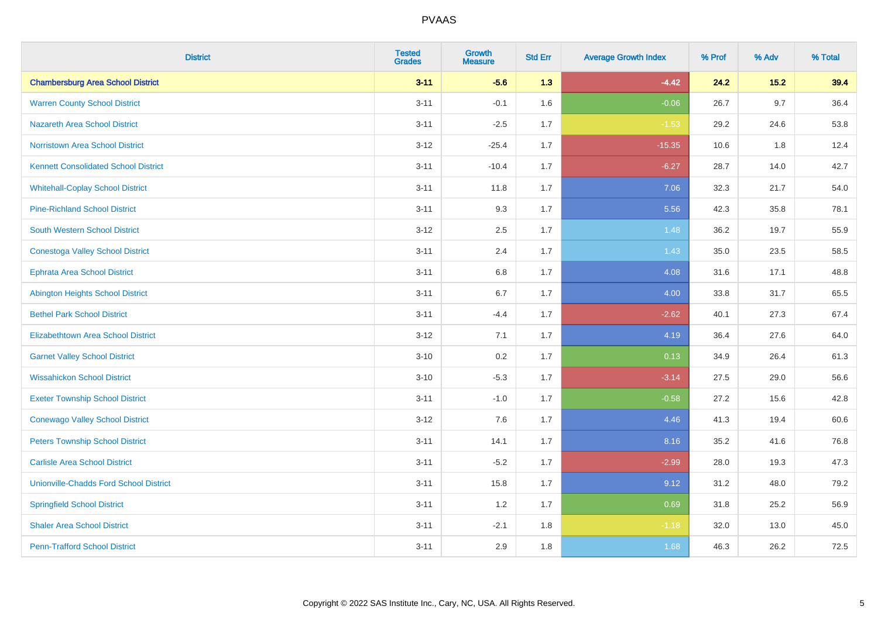| <b>District</b>                               | <b>Tested</b><br><b>Grades</b> | <b>Growth</b><br><b>Measure</b> | <b>Std Err</b> | <b>Average Growth Index</b> | % Prof | % Adv | % Total |
|-----------------------------------------------|--------------------------------|---------------------------------|----------------|-----------------------------|--------|-------|---------|
| <b>Chambersburg Area School District</b>      | $3 - 11$                       | $-5.6$                          | 1.3            | $-4.42$                     | 24.2   | 15.2  | 39.4    |
| <b>Warren County School District</b>          | $3 - 11$                       | $-0.1$                          | 1.6            | $-0.06$                     | 26.7   | 9.7   | 36.4    |
| <b>Nazareth Area School District</b>          | $3 - 11$                       | $-2.5$                          | 1.7            | $-1.53$                     | 29.2   | 24.6  | 53.8    |
| <b>Norristown Area School District</b>        | $3 - 12$                       | $-25.4$                         | 1.7            | $-15.35$                    | 10.6   | 1.8   | 12.4    |
| <b>Kennett Consolidated School District</b>   | $3 - 11$                       | $-10.4$                         | 1.7            | $-6.27$                     | 28.7   | 14.0  | 42.7    |
| <b>Whitehall-Coplay School District</b>       | $3 - 11$                       | 11.8                            | 1.7            | 7.06                        | 32.3   | 21.7  | 54.0    |
| <b>Pine-Richland School District</b>          | $3 - 11$                       | 9.3                             | 1.7            | 5.56                        | 42.3   | 35.8  | 78.1    |
| <b>South Western School District</b>          | $3 - 12$                       | 2.5                             | 1.7            | 1.48                        | 36.2   | 19.7  | 55.9    |
| <b>Conestoga Valley School District</b>       | $3 - 11$                       | 2.4                             | 1.7            | 1.43                        | 35.0   | 23.5  | 58.5    |
| <b>Ephrata Area School District</b>           | $3 - 11$                       | 6.8                             | 1.7            | 4.08                        | 31.6   | 17.1  | 48.8    |
| <b>Abington Heights School District</b>       | $3 - 11$                       | 6.7                             | 1.7            | 4.00                        | 33.8   | 31.7  | 65.5    |
| <b>Bethel Park School District</b>            | $3 - 11$                       | $-4.4$                          | 1.7            | $-2.62$                     | 40.1   | 27.3  | 67.4    |
| <b>Elizabethtown Area School District</b>     | $3 - 12$                       | 7.1                             | 1.7            | 4.19                        | 36.4   | 27.6  | 64.0    |
| <b>Garnet Valley School District</b>          | $3 - 10$                       | 0.2                             | 1.7            | 0.13                        | 34.9   | 26.4  | 61.3    |
| <b>Wissahickon School District</b>            | $3 - 10$                       | $-5.3$                          | 1.7            | $-3.14$                     | 27.5   | 29.0  | 56.6    |
| <b>Exeter Township School District</b>        | $3 - 11$                       | $-1.0$                          | 1.7            | $-0.58$                     | 27.2   | 15.6  | 42.8    |
| <b>Conewago Valley School District</b>        | $3 - 12$                       | 7.6                             | 1.7            | 4.46                        | 41.3   | 19.4  | 60.6    |
| <b>Peters Township School District</b>        | $3 - 11$                       | 14.1                            | 1.7            | 8.16                        | 35.2   | 41.6  | 76.8    |
| <b>Carlisle Area School District</b>          | $3 - 11$                       | $-5.2$                          | 1.7            | $-2.99$                     | 28.0   | 19.3  | 47.3    |
| <b>Unionville-Chadds Ford School District</b> | $3 - 11$                       | 15.8                            | 1.7            | 9.12                        | 31.2   | 48.0  | 79.2    |
| <b>Springfield School District</b>            | $3 - 11$                       | 1.2                             | 1.7            | 0.69                        | 31.8   | 25.2  | 56.9    |
| <b>Shaler Area School District</b>            | $3 - 11$                       | $-2.1$                          | 1.8            | $-1.18$                     | 32.0   | 13.0  | 45.0    |
| <b>Penn-Trafford School District</b>          | $3 - 11$                       | 2.9                             | 1.8            | 1.68                        | 46.3   | 26.2  | 72.5    |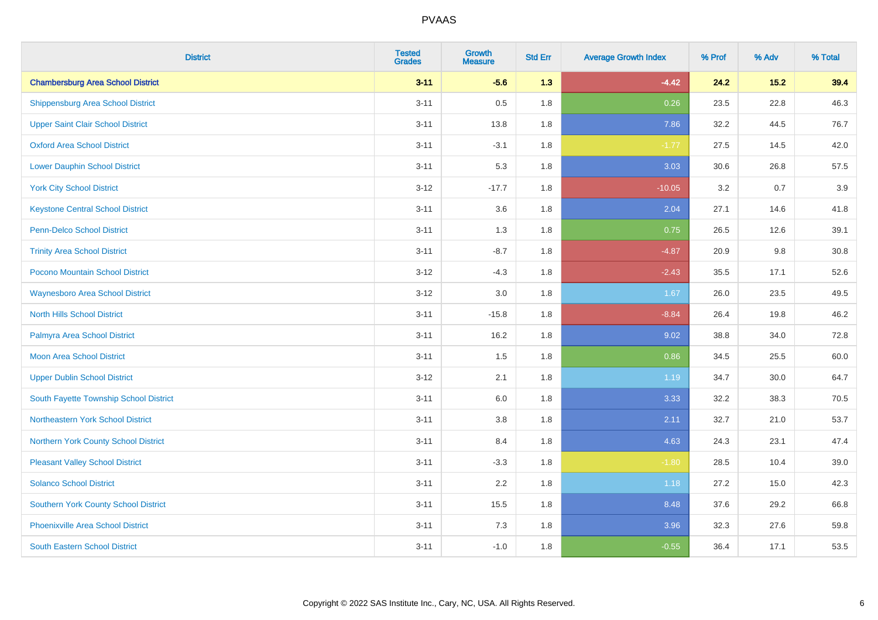| <b>District</b>                             | <b>Tested</b><br><b>Grades</b> | <b>Growth</b><br><b>Measure</b> | <b>Std Err</b> | <b>Average Growth Index</b> | % Prof | % Adv | % Total |
|---------------------------------------------|--------------------------------|---------------------------------|----------------|-----------------------------|--------|-------|---------|
| <b>Chambersburg Area School District</b>    | $3 - 11$                       | $-5.6$                          | 1.3            | $-4.42$                     | 24.2   | 15.2  | 39.4    |
| <b>Shippensburg Area School District</b>    | $3 - 11$                       | 0.5                             | 1.8            | 0.26                        | 23.5   | 22.8  | 46.3    |
| <b>Upper Saint Clair School District</b>    | $3 - 11$                       | 13.8                            | 1.8            | 7.86                        | 32.2   | 44.5  | 76.7    |
| <b>Oxford Area School District</b>          | $3 - 11$                       | $-3.1$                          | 1.8            | $-1.77$                     | 27.5   | 14.5  | 42.0    |
| <b>Lower Dauphin School District</b>        | $3 - 11$                       | 5.3                             | 1.8            | 3.03                        | 30.6   | 26.8  | 57.5    |
| <b>York City School District</b>            | $3 - 12$                       | $-17.7$                         | 1.8            | $-10.05$                    | 3.2    | 0.7   | 3.9     |
| <b>Keystone Central School District</b>     | $3 - 11$                       | 3.6                             | 1.8            | 2.04                        | 27.1   | 14.6  | 41.8    |
| <b>Penn-Delco School District</b>           | $3 - 11$                       | 1.3                             | 1.8            | 0.75                        | 26.5   | 12.6  | 39.1    |
| <b>Trinity Area School District</b>         | $3 - 11$                       | $-8.7$                          | 1.8            | $-4.87$                     | 20.9   | 9.8   | 30.8    |
| Pocono Mountain School District             | $3 - 12$                       | $-4.3$                          | 1.8            | $-2.43$                     | 35.5   | 17.1  | 52.6    |
| <b>Waynesboro Area School District</b>      | $3 - 12$                       | 3.0                             | 1.8            | 1.67                        | 26.0   | 23.5  | 49.5    |
| <b>North Hills School District</b>          | $3 - 11$                       | $-15.8$                         | 1.8            | $-8.84$                     | 26.4   | 19.8  | 46.2    |
| Palmyra Area School District                | $3 - 11$                       | 16.2                            | 1.8            | 9.02                        | 38.8   | 34.0  | 72.8    |
| <b>Moon Area School District</b>            | $3 - 11$                       | 1.5                             | 1.8            | 0.86                        | 34.5   | 25.5  | 60.0    |
| <b>Upper Dublin School District</b>         | $3 - 12$                       | 2.1                             | 1.8            | 1.19                        | 34.7   | 30.0  | 64.7    |
| South Fayette Township School District      | $3 - 11$                       | 6.0                             | 1.8            | 3.33                        | 32.2   | 38.3  | 70.5    |
| Northeastern York School District           | $3 - 11$                       | $3.8\,$                         | 1.8            | 2.11                        | 32.7   | 21.0  | 53.7    |
| Northern York County School District        | $3 - 11$                       | 8.4                             | 1.8            | 4.63                        | 24.3   | 23.1  | 47.4    |
| <b>Pleasant Valley School District</b>      | $3 - 11$                       | $-3.3$                          | 1.8            | $-1.80$                     | 28.5   | 10.4  | 39.0    |
| <b>Solanco School District</b>              | $3 - 11$                       | 2.2                             | 1.8            | 1.18                        | 27.2   | 15.0  | 42.3    |
| <b>Southern York County School District</b> | $3 - 11$                       | 15.5                            | 1.8            | 8.48                        | 37.6   | 29.2  | 66.8    |
| Phoenixville Area School District           | $3 - 11$                       | 7.3                             | 1.8            | 3.96                        | 32.3   | 27.6  | 59.8    |
| <b>South Eastern School District</b>        | $3 - 11$                       | $-1.0$                          | 1.8            | $-0.55$                     | 36.4   | 17.1  | 53.5    |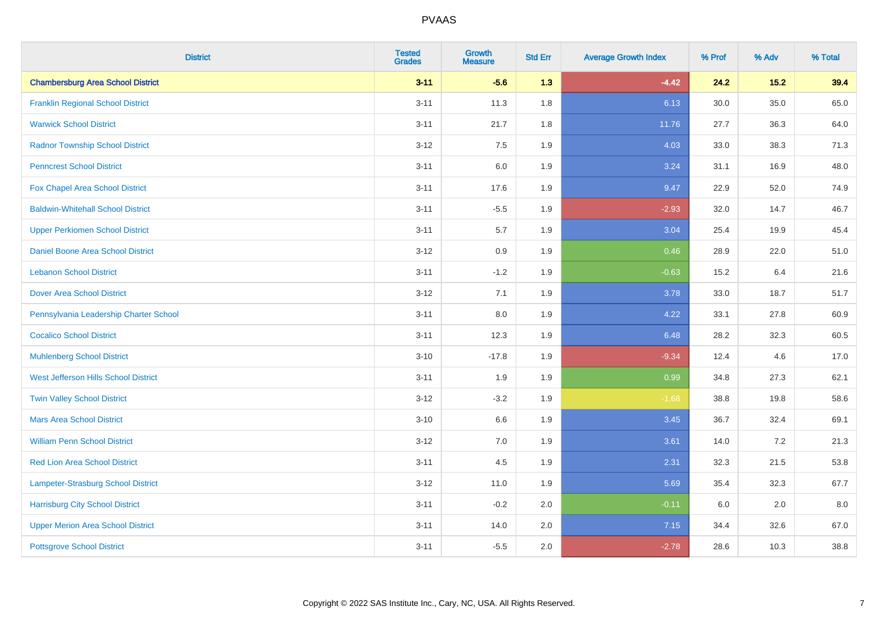| <b>District</b>                          | <b>Tested</b><br><b>Grades</b> | <b>Growth</b><br><b>Measure</b> | <b>Std Err</b> | <b>Average Growth Index</b> | % Prof | % Adv | % Total |
|------------------------------------------|--------------------------------|---------------------------------|----------------|-----------------------------|--------|-------|---------|
| <b>Chambersburg Area School District</b> | $3 - 11$                       | $-5.6$                          | 1.3            | $-4.42$                     | 24.2   | 15.2  | 39.4    |
| <b>Franklin Regional School District</b> | $3 - 11$                       | 11.3                            | 1.8            | 6.13                        | 30.0   | 35.0  | 65.0    |
| <b>Warwick School District</b>           | $3 - 11$                       | 21.7                            | 1.8            | 11.76                       | 27.7   | 36.3  | 64.0    |
| <b>Radnor Township School District</b>   | $3 - 12$                       | 7.5                             | 1.9            | 4.03                        | 33.0   | 38.3  | 71.3    |
| <b>Penncrest School District</b>         | $3 - 11$                       | 6.0                             | 1.9            | 3.24                        | 31.1   | 16.9  | 48.0    |
| Fox Chapel Area School District          | $3 - 11$                       | 17.6                            | 1.9            | 9.47                        | 22.9   | 52.0  | 74.9    |
| <b>Baldwin-Whitehall School District</b> | $3 - 11$                       | $-5.5$                          | 1.9            | $-2.93$                     | 32.0   | 14.7  | 46.7    |
| <b>Upper Perkiomen School District</b>   | $3 - 11$                       | 5.7                             | 1.9            | 3.04                        | 25.4   | 19.9  | 45.4    |
| <b>Daniel Boone Area School District</b> | $3 - 12$                       | 0.9                             | 1.9            | 0.46                        | 28.9   | 22.0  | 51.0    |
| <b>Lebanon School District</b>           | $3 - 11$                       | $-1.2$                          | 1.9            | $-0.63$                     | 15.2   | 6.4   | 21.6    |
| Dover Area School District               | $3 - 12$                       | 7.1                             | 1.9            | 3.78                        | 33.0   | 18.7  | 51.7    |
| Pennsylvania Leadership Charter School   | $3 - 11$                       | 8.0                             | 1.9            | 4.22                        | 33.1   | 27.8  | 60.9    |
| <b>Cocalico School District</b>          | $3 - 11$                       | 12.3                            | 1.9            | 6.48                        | 28.2   | 32.3  | 60.5    |
| <b>Muhlenberg School District</b>        | $3 - 10$                       | $-17.8$                         | 1.9            | $-9.34$                     | 12.4   | 4.6   | 17.0    |
| West Jefferson Hills School District     | $3 - 11$                       | 1.9                             | 1.9            | 0.99                        | 34.8   | 27.3  | 62.1    |
| <b>Twin Valley School District</b>       | $3 - 12$                       | $-3.2$                          | 1.9            | $-1.68$                     | 38.8   | 19.8  | 58.6    |
| <b>Mars Area School District</b>         | $3 - 10$                       | $6.6\,$                         | 1.9            | 3.45                        | 36.7   | 32.4  | 69.1    |
| <b>William Penn School District</b>      | $3-12$                         | 7.0                             | 1.9            | 3.61                        | 14.0   | 7.2   | 21.3    |
| <b>Red Lion Area School District</b>     | $3 - 11$                       | 4.5                             | 1.9            | 2.31                        | 32.3   | 21.5  | 53.8    |
| Lampeter-Strasburg School District       | $3 - 12$                       | 11.0                            | 1.9            | 5.69                        | 35.4   | 32.3  | 67.7    |
| <b>Harrisburg City School District</b>   | $3 - 11$                       | $-0.2$                          | 2.0            | $-0.11$                     | 6.0    | 2.0   | 8.0     |
| <b>Upper Merion Area School District</b> | $3 - 11$                       | 14.0                            | 2.0            | 7.15                        | 34.4   | 32.6  | 67.0    |
| <b>Pottsgrove School District</b>        | $3 - 11$                       | $-5.5$                          | 2.0            | $-2.78$                     | 28.6   | 10.3  | 38.8    |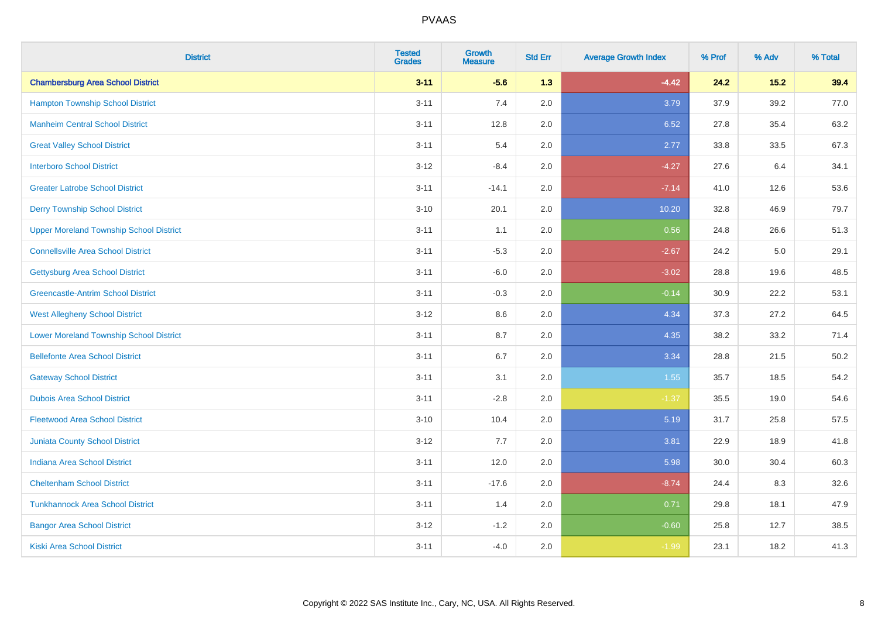| <b>District</b>                                | <b>Tested</b><br><b>Grades</b> | <b>Growth</b><br><b>Measure</b> | <b>Std Err</b> | <b>Average Growth Index</b> | % Prof | % Adv | % Total |
|------------------------------------------------|--------------------------------|---------------------------------|----------------|-----------------------------|--------|-------|---------|
| <b>Chambersburg Area School District</b>       | $3 - 11$                       | $-5.6$                          | 1.3            | $-4.42$                     | 24.2   | 15.2  | 39.4    |
| <b>Hampton Township School District</b>        | $3 - 11$                       | $7.4$                           | 2.0            | 3.79                        | 37.9   | 39.2  | 77.0    |
| <b>Manheim Central School District</b>         | $3 - 11$                       | 12.8                            | 2.0            | 6.52                        | 27.8   | 35.4  | 63.2    |
| <b>Great Valley School District</b>            | $3 - 11$                       | 5.4                             | 2.0            | 2.77                        | 33.8   | 33.5  | 67.3    |
| <b>Interboro School District</b>               | $3-12$                         | $-8.4$                          | 2.0            | $-4.27$                     | 27.6   | 6.4   | 34.1    |
| <b>Greater Latrobe School District</b>         | $3 - 11$                       | $-14.1$                         | 2.0            | $-7.14$                     | 41.0   | 12.6  | 53.6    |
| <b>Derry Township School District</b>          | $3 - 10$                       | 20.1                            | 2.0            | 10.20                       | 32.8   | 46.9  | 79.7    |
| <b>Upper Moreland Township School District</b> | $3 - 11$                       | 1.1                             | 2.0            | 0.56                        | 24.8   | 26.6  | 51.3    |
| <b>Connellsville Area School District</b>      | $3 - 11$                       | $-5.3$                          | 2.0            | $-2.67$                     | 24.2   | 5.0   | 29.1    |
| <b>Gettysburg Area School District</b>         | $3 - 11$                       | $-6.0$                          | 2.0            | $-3.02$                     | 28.8   | 19.6  | 48.5    |
| <b>Greencastle-Antrim School District</b>      | $3 - 11$                       | $-0.3$                          | 2.0            | $-0.14$                     | 30.9   | 22.2  | 53.1    |
| <b>West Allegheny School District</b>          | $3 - 12$                       | 8.6                             | 2.0            | 4.34                        | 37.3   | 27.2  | 64.5    |
| <b>Lower Moreland Township School District</b> | $3 - 11$                       | 8.7                             | 2.0            | 4.35                        | 38.2   | 33.2  | 71.4    |
| <b>Bellefonte Area School District</b>         | $3 - 11$                       | $6.7\,$                         | 2.0            | 3.34                        | 28.8   | 21.5  | 50.2    |
| <b>Gateway School District</b>                 | $3 - 11$                       | 3.1                             | 2.0            | 1.55                        | 35.7   | 18.5  | 54.2    |
| <b>Dubois Area School District</b>             | $3 - 11$                       | $-2.8$                          | 2.0            | $-1.37$                     | 35.5   | 19.0  | 54.6    |
| <b>Fleetwood Area School District</b>          | $3 - 10$                       | 10.4                            | 2.0            | 5.19                        | 31.7   | 25.8  | 57.5    |
| <b>Juniata County School District</b>          | $3 - 12$                       | 7.7                             | 2.0            | 3.81                        | 22.9   | 18.9  | 41.8    |
| <b>Indiana Area School District</b>            | $3 - 11$                       | 12.0                            | 2.0            | 5.98                        | 30.0   | 30.4  | 60.3    |
| <b>Cheltenham School District</b>              | $3 - 11$                       | $-17.6$                         | 2.0            | $-8.74$                     | 24.4   | 8.3   | 32.6    |
| <b>Tunkhannock Area School District</b>        | $3 - 11$                       | 1.4                             | 2.0            | 0.71                        | 29.8   | 18.1  | 47.9    |
| <b>Bangor Area School District</b>             | $3-12$                         | $-1.2$                          | 2.0            | $-0.60$                     | 25.8   | 12.7  | 38.5    |
| Kiski Area School District                     | $3 - 11$                       | $-4.0$                          | 2.0            | $-1.99$                     | 23.1   | 18.2  | 41.3    |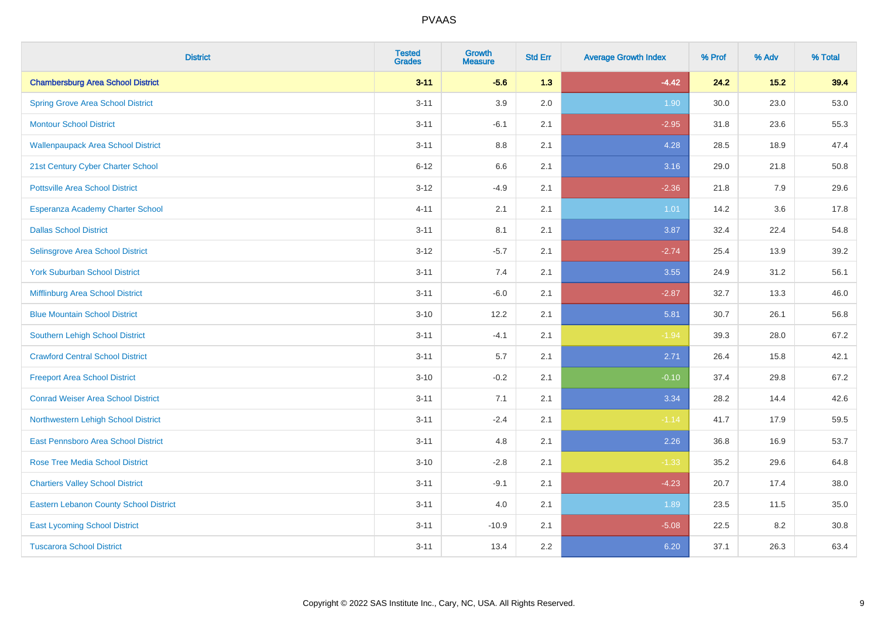| <b>District</b>                               | <b>Tested</b><br><b>Grades</b> | <b>Growth</b><br><b>Measure</b> | <b>Std Err</b> | <b>Average Growth Index</b> | % Prof | % Adv | % Total |
|-----------------------------------------------|--------------------------------|---------------------------------|----------------|-----------------------------|--------|-------|---------|
| <b>Chambersburg Area School District</b>      | $3 - 11$                       | $-5.6$                          | 1.3            | $-4.42$                     | 24.2   | 15.2  | 39.4    |
| <b>Spring Grove Area School District</b>      | $3 - 11$                       | 3.9                             | 2.0            | 1.90                        | 30.0   | 23.0  | 53.0    |
| <b>Montour School District</b>                | $3 - 11$                       | $-6.1$                          | 2.1            | $-2.95$                     | 31.8   | 23.6  | 55.3    |
| <b>Wallenpaupack Area School District</b>     | $3 - 11$                       | $8.8\,$                         | 2.1            | 4.28                        | 28.5   | 18.9  | 47.4    |
| 21st Century Cyber Charter School             | $6 - 12$                       | 6.6                             | 2.1            | 3.16                        | 29.0   | 21.8  | 50.8    |
| <b>Pottsville Area School District</b>        | $3-12$                         | $-4.9$                          | 2.1            | $-2.36$                     | 21.8   | 7.9   | 29.6    |
| Esperanza Academy Charter School              | $4 - 11$                       | 2.1                             | 2.1            | $1.01$                      | 14.2   | 3.6   | 17.8    |
| <b>Dallas School District</b>                 | $3 - 11$                       | 8.1                             | 2.1            | 3.87                        | 32.4   | 22.4  | 54.8    |
| Selinsgrove Area School District              | $3 - 12$                       | $-5.7$                          | 2.1            | $-2.74$                     | 25.4   | 13.9  | 39.2    |
| <b>York Suburban School District</b>          | $3 - 11$                       | 7.4                             | 2.1            | 3.55                        | 24.9   | 31.2  | 56.1    |
| Mifflinburg Area School District              | $3 - 11$                       | $-6.0$                          | 2.1            | $-2.87$                     | 32.7   | 13.3  | 46.0    |
| <b>Blue Mountain School District</b>          | $3 - 10$                       | 12.2                            | 2.1            | 5.81                        | 30.7   | 26.1  | 56.8    |
| <b>Southern Lehigh School District</b>        | $3 - 11$                       | $-4.1$                          | 2.1            | $-1.94$                     | 39.3   | 28.0  | 67.2    |
| <b>Crawford Central School District</b>       | $3 - 11$                       | 5.7                             | 2.1            | 2.71                        | 26.4   | 15.8  | 42.1    |
| <b>Freeport Area School District</b>          | $3 - 10$                       | $-0.2$                          | 2.1            | $-0.10$                     | 37.4   | 29.8  | 67.2    |
| <b>Conrad Weiser Area School District</b>     | $3 - 11$                       | 7.1                             | 2.1            | 3.34                        | 28.2   | 14.4  | 42.6    |
| Northwestern Lehigh School District           | $3 - 11$                       | $-2.4$                          | 2.1            | $-1.14$                     | 41.7   | 17.9  | 59.5    |
| East Pennsboro Area School District           | $3 - 11$                       | 4.8                             | 2.1            | 2.26                        | 36.8   | 16.9  | 53.7    |
| Rose Tree Media School District               | $3 - 10$                       | $-2.8$                          | 2.1            | $-1.33$                     | 35.2   | 29.6  | 64.8    |
| <b>Chartiers Valley School District</b>       | $3 - 11$                       | $-9.1$                          | 2.1            | $-4.23$                     | 20.7   | 17.4  | 38.0    |
| <b>Eastern Lebanon County School District</b> | $3 - 11$                       | 4.0                             | 2.1            | 1.89                        | 23.5   | 11.5  | 35.0    |
| <b>East Lycoming School District</b>          | $3 - 11$                       | $-10.9$                         | 2.1            | $-5.08$                     | 22.5   | 8.2   | 30.8    |
| <b>Tuscarora School District</b>              | $3 - 11$                       | 13.4                            | 2.2            | 6.20                        | 37.1   | 26.3  | 63.4    |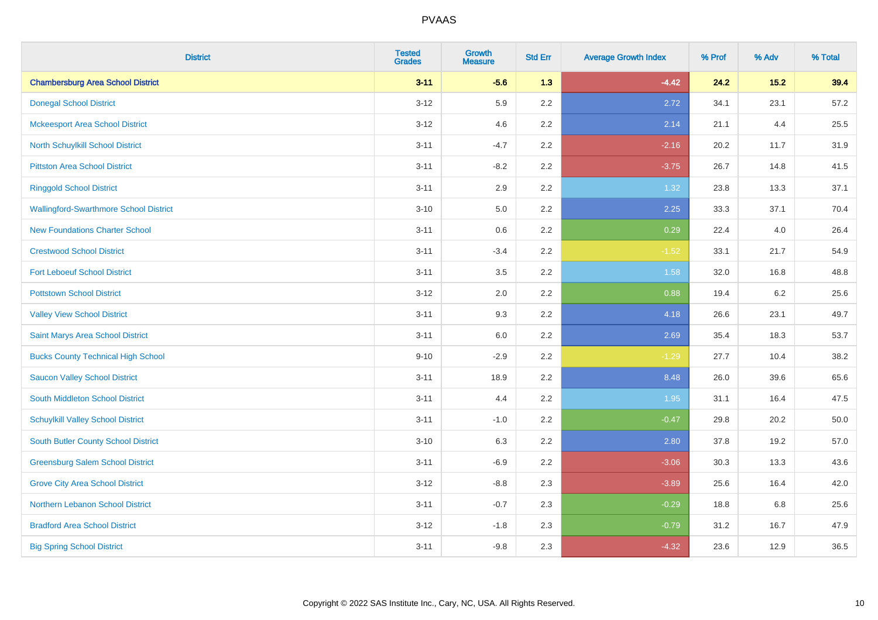| <b>District</b>                               | <b>Tested</b><br><b>Grades</b> | <b>Growth</b><br><b>Measure</b> | <b>Std Err</b> | <b>Average Growth Index</b> | % Prof | % Adv  | % Total |
|-----------------------------------------------|--------------------------------|---------------------------------|----------------|-----------------------------|--------|--------|---------|
| <b>Chambersburg Area School District</b>      | $3 - 11$                       | $-5.6$                          | 1.3            | $-4.42$                     | 24.2   | $15.2$ | 39.4    |
| <b>Donegal School District</b>                | $3 - 12$                       | 5.9                             | 2.2            | 2.72                        | 34.1   | 23.1   | 57.2    |
| <b>Mckeesport Area School District</b>        | $3 - 12$                       | 4.6                             | 2.2            | 2.14                        | 21.1   | 4.4    | 25.5    |
| North Schuylkill School District              | $3 - 11$                       | $-4.7$                          | 2.2            | $-2.16$                     | 20.2   | 11.7   | 31.9    |
| <b>Pittston Area School District</b>          | $3 - 11$                       | $-8.2$                          | 2.2            | $-3.75$                     | 26.7   | 14.8   | 41.5    |
| <b>Ringgold School District</b>               | $3 - 11$                       | 2.9                             | 2.2            | 1.32                        | 23.8   | 13.3   | 37.1    |
| <b>Wallingford-Swarthmore School District</b> | $3 - 10$                       | 5.0                             | 2.2            | 2.25                        | 33.3   | 37.1   | 70.4    |
| <b>New Foundations Charter School</b>         | $3 - 11$                       | 0.6                             | 2.2            | 0.29                        | 22.4   | 4.0    | 26.4    |
| <b>Crestwood School District</b>              | $3 - 11$                       | $-3.4$                          | 2.2            | $-1.52$                     | 33.1   | 21.7   | 54.9    |
| <b>Fort Leboeuf School District</b>           | $3 - 11$                       | 3.5                             | 2.2            | 1.58                        | 32.0   | 16.8   | 48.8    |
| <b>Pottstown School District</b>              | $3 - 12$                       | 2.0                             | 2.2            | 0.88                        | 19.4   | 6.2    | 25.6    |
| <b>Valley View School District</b>            | $3 - 11$                       | 9.3                             | 2.2            | 4.18                        | 26.6   | 23.1   | 49.7    |
| Saint Marys Area School District              | $3 - 11$                       | $6.0\,$                         | 2.2            | 2.69                        | 35.4   | 18.3   | 53.7    |
| <b>Bucks County Technical High School</b>     | $9 - 10$                       | $-2.9$                          | 2.2            | $-1.29$                     | 27.7   | 10.4   | 38.2    |
| <b>Saucon Valley School District</b>          | $3 - 11$                       | 18.9                            | 2.2            | 8.48                        | 26.0   | 39.6   | 65.6    |
| South Middleton School District               | $3 - 11$                       | 4.4                             | 2.2            | 1.95                        | 31.1   | 16.4   | 47.5    |
| <b>Schuylkill Valley School District</b>      | $3 - 11$                       | $-1.0$                          | 2.2            | $-0.47$                     | 29.8   | 20.2   | 50.0    |
| South Butler County School District           | $3 - 10$                       | 6.3                             | 2.2            | 2.80                        | 37.8   | 19.2   | 57.0    |
| <b>Greensburg Salem School District</b>       | $3 - 11$                       | $-6.9$                          | 2.2            | $-3.06$                     | 30.3   | 13.3   | 43.6    |
| <b>Grove City Area School District</b>        | $3 - 12$                       | $-8.8$                          | 2.3            | $-3.89$                     | 25.6   | 16.4   | 42.0    |
| Northern Lebanon School District              | $3 - 11$                       | $-0.7$                          | 2.3            | $-0.29$                     | 18.8   | 6.8    | 25.6    |
| <b>Bradford Area School District</b>          | $3 - 12$                       | $-1.8$                          | 2.3            | $-0.79$                     | 31.2   | 16.7   | 47.9    |
| <b>Big Spring School District</b>             | $3 - 11$                       | $-9.8$                          | 2.3            | $-4.32$                     | 23.6   | 12.9   | 36.5    |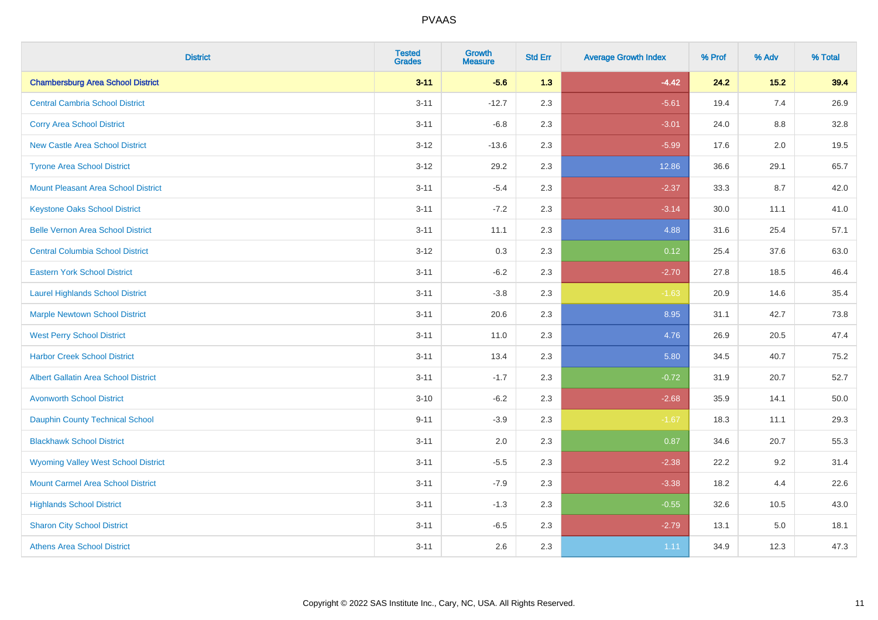| <b>District</b>                             | <b>Tested</b><br><b>Grades</b> | <b>Growth</b><br><b>Measure</b> | <b>Std Err</b> | <b>Average Growth Index</b> | % Prof | % Adv   | % Total |
|---------------------------------------------|--------------------------------|---------------------------------|----------------|-----------------------------|--------|---------|---------|
| <b>Chambersburg Area School District</b>    | $3 - 11$                       | $-5.6$                          | 1.3            | $-4.42$                     | 24.2   | $15.2$  | 39.4    |
| <b>Central Cambria School District</b>      | $3 - 11$                       | $-12.7$                         | 2.3            | $-5.61$                     | 19.4   | 7.4     | 26.9    |
| <b>Corry Area School District</b>           | $3 - 11$                       | $-6.8$                          | 2.3            | $-3.01$                     | 24.0   | 8.8     | 32.8    |
| <b>New Castle Area School District</b>      | $3 - 12$                       | $-13.6$                         | 2.3            | $-5.99$                     | 17.6   | 2.0     | 19.5    |
| <b>Tyrone Area School District</b>          | $3 - 12$                       | 29.2                            | 2.3            | 12.86                       | 36.6   | 29.1    | 65.7    |
| <b>Mount Pleasant Area School District</b>  | $3 - 11$                       | $-5.4$                          | 2.3            | $-2.37$                     | 33.3   | 8.7     | 42.0    |
| <b>Keystone Oaks School District</b>        | $3 - 11$                       | $-7.2$                          | 2.3            | $-3.14$                     | 30.0   | 11.1    | 41.0    |
| <b>Belle Vernon Area School District</b>    | $3 - 11$                       | 11.1                            | 2.3            | 4.88                        | 31.6   | 25.4    | 57.1    |
| <b>Central Columbia School District</b>     | $3 - 12$                       | 0.3                             | 2.3            | 0.12                        | 25.4   | 37.6    | 63.0    |
| <b>Eastern York School District</b>         | $3 - 11$                       | $-6.2$                          | 2.3            | $-2.70$                     | 27.8   | 18.5    | 46.4    |
| <b>Laurel Highlands School District</b>     | $3 - 11$                       | $-3.8$                          | 2.3            | $-1.63$                     | 20.9   | 14.6    | 35.4    |
| <b>Marple Newtown School District</b>       | $3 - 11$                       | 20.6                            | 2.3            | 8.95                        | 31.1   | 42.7    | 73.8    |
| <b>West Perry School District</b>           | $3 - 11$                       | 11.0                            | 2.3            | 4.76                        | 26.9   | 20.5    | 47.4    |
| <b>Harbor Creek School District</b>         | $3 - 11$                       | 13.4                            | 2.3            | 5.80                        | 34.5   | 40.7    | 75.2    |
| <b>Albert Gallatin Area School District</b> | $3 - 11$                       | $-1.7$                          | 2.3            | $-0.72$                     | 31.9   | 20.7    | 52.7    |
| <b>Avonworth School District</b>            | $3 - 10$                       | $-6.2$                          | 2.3            | $-2.68$                     | 35.9   | 14.1    | 50.0    |
| Dauphin County Technical School             | $9 - 11$                       | $-3.9$                          | 2.3            | $-1.67$                     | 18.3   | 11.1    | 29.3    |
| <b>Blackhawk School District</b>            | $3 - 11$                       | 2.0                             | 2.3            | 0.87                        | 34.6   | 20.7    | 55.3    |
| <b>Wyoming Valley West School District</b>  | $3 - 11$                       | $-5.5$                          | 2.3            | $-2.38$                     | 22.2   | 9.2     | 31.4    |
| <b>Mount Carmel Area School District</b>    | $3 - 11$                       | $-7.9$                          | 2.3            | $-3.38$                     | 18.2   | 4.4     | 22.6    |
| <b>Highlands School District</b>            | $3 - 11$                       | $-1.3$                          | 2.3            | $-0.55$                     | 32.6   | 10.5    | 43.0    |
| <b>Sharon City School District</b>          | $3 - 11$                       | $-6.5$                          | 2.3            | $-2.79$                     | 13.1   | $5.0\,$ | 18.1    |
| <b>Athens Area School District</b>          | $3 - 11$                       | 2.6                             | 2.3            | 1.11                        | 34.9   | 12.3    | 47.3    |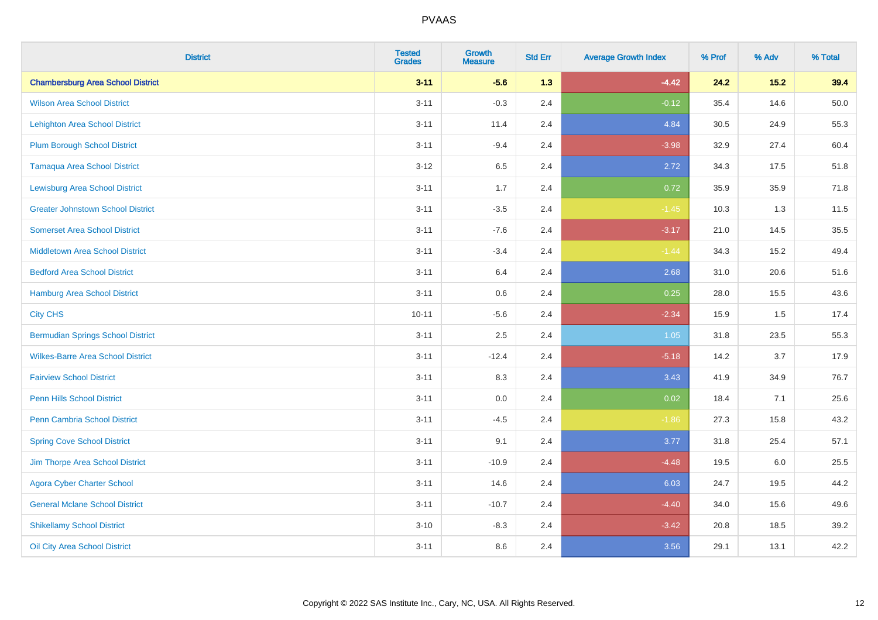| <b>District</b>                          | <b>Tested</b><br><b>Grades</b> | <b>Growth</b><br><b>Measure</b> | <b>Std Err</b> | <b>Average Growth Index</b> | % Prof | % Adv  | % Total |
|------------------------------------------|--------------------------------|---------------------------------|----------------|-----------------------------|--------|--------|---------|
| <b>Chambersburg Area School District</b> | $3 - 11$                       | $-5.6$                          | 1.3            | $-4.42$                     | 24.2   | $15.2$ | 39.4    |
| <b>Wilson Area School District</b>       | $3 - 11$                       | $-0.3$                          | 2.4            | $-0.12$                     | 35.4   | 14.6   | 50.0    |
| <b>Lehighton Area School District</b>    | $3 - 11$                       | 11.4                            | 2.4            | 4.84                        | 30.5   | 24.9   | 55.3    |
| <b>Plum Borough School District</b>      | $3 - 11$                       | $-9.4$                          | 2.4            | $-3.98$                     | 32.9   | 27.4   | 60.4    |
| <b>Tamaqua Area School District</b>      | $3 - 12$                       | 6.5                             | 2.4            | 2.72                        | 34.3   | 17.5   | 51.8    |
| <b>Lewisburg Area School District</b>    | $3 - 11$                       | 1.7                             | 2.4            | 0.72                        | 35.9   | 35.9   | 71.8    |
| <b>Greater Johnstown School District</b> | $3 - 11$                       | $-3.5$                          | 2.4            | $-1.45$                     | 10.3   | 1.3    | 11.5    |
| <b>Somerset Area School District</b>     | $3 - 11$                       | $-7.6$                          | 2.4            | $-3.17$                     | 21.0   | 14.5   | 35.5    |
| <b>Middletown Area School District</b>   | $3 - 11$                       | $-3.4$                          | 2.4            | $-1.44$                     | 34.3   | 15.2   | 49.4    |
| <b>Bedford Area School District</b>      | $3 - 11$                       | 6.4                             | 2.4            | 2.68                        | 31.0   | 20.6   | 51.6    |
| Hamburg Area School District             | $3 - 11$                       | 0.6                             | 2.4            | 0.25                        | 28.0   | 15.5   | 43.6    |
| <b>City CHS</b>                          | $10 - 11$                      | $-5.6$                          | 2.4            | $-2.34$                     | 15.9   | 1.5    | 17.4    |
| <b>Bermudian Springs School District</b> | $3 - 11$                       | 2.5                             | 2.4            | 1.05                        | 31.8   | 23.5   | 55.3    |
| <b>Wilkes-Barre Area School District</b> | $3 - 11$                       | $-12.4$                         | 2.4            | $-5.18$                     | 14.2   | 3.7    | 17.9    |
| <b>Fairview School District</b>          | $3 - 11$                       | 8.3                             | 2.4            | 3.43                        | 41.9   | 34.9   | 76.7    |
| Penn Hills School District               | $3 - 11$                       | 0.0                             | 2.4            | 0.02                        | 18.4   | 7.1    | 25.6    |
| <b>Penn Cambria School District</b>      | $3 - 11$                       | $-4.5$                          | 2.4            | $-1.86$                     | 27.3   | 15.8   | 43.2    |
| <b>Spring Cove School District</b>       | $3 - 11$                       | 9.1                             | 2.4            | 3.77                        | 31.8   | 25.4   | 57.1    |
| Jim Thorpe Area School District          | $3 - 11$                       | $-10.9$                         | 2.4            | $-4.48$                     | 19.5   | 6.0    | 25.5    |
| <b>Agora Cyber Charter School</b>        | $3 - 11$                       | 14.6                            | 2.4            | 6.03                        | 24.7   | 19.5   | 44.2    |
| <b>General Mclane School District</b>    | $3 - 11$                       | $-10.7$                         | 2.4            | $-4.40$                     | 34.0   | 15.6   | 49.6    |
| <b>Shikellamy School District</b>        | $3 - 10$                       | $-8.3$                          | 2.4            | $-3.42$                     | 20.8   | 18.5   | 39.2    |
| Oil City Area School District            | $3 - 11$                       | 8.6                             | 2.4            | 3.56                        | 29.1   | 13.1   | 42.2    |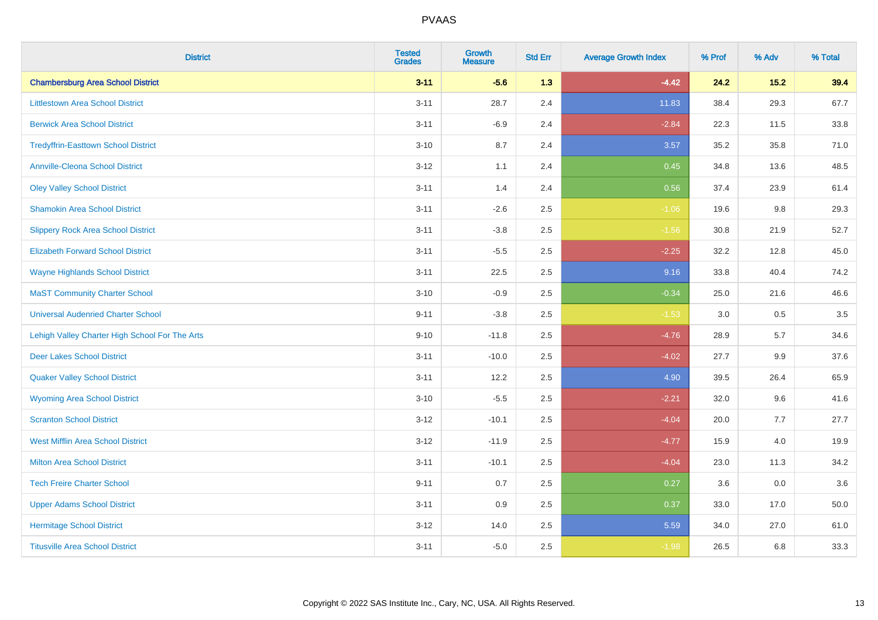| <b>District</b>                                | <b>Tested</b><br><b>Grades</b> | <b>Growth</b><br><b>Measure</b> | <b>Std Err</b> | <b>Average Growth Index</b> | % Prof | % Adv | % Total |
|------------------------------------------------|--------------------------------|---------------------------------|----------------|-----------------------------|--------|-------|---------|
| <b>Chambersburg Area School District</b>       | $3 - 11$                       | $-5.6$                          | 1.3            | $-4.42$                     | 24.2   | 15.2  | 39.4    |
| <b>Littlestown Area School District</b>        | $3 - 11$                       | 28.7                            | 2.4            | 11.83                       | 38.4   | 29.3  | 67.7    |
| <b>Berwick Area School District</b>            | $3 - 11$                       | $-6.9$                          | 2.4            | $-2.84$                     | 22.3   | 11.5  | 33.8    |
| <b>Tredyffrin-Easttown School District</b>     | $3 - 10$                       | 8.7                             | 2.4            | 3.57                        | 35.2   | 35.8  | 71.0    |
| <b>Annville-Cleona School District</b>         | $3 - 12$                       | 1.1                             | 2.4            | 0.45                        | 34.8   | 13.6  | 48.5    |
| <b>Oley Valley School District</b>             | $3 - 11$                       | 1.4                             | 2.4            | 0.56                        | 37.4   | 23.9  | 61.4    |
| <b>Shamokin Area School District</b>           | $3 - 11$                       | $-2.6$                          | 2.5            | $-1.06$                     | 19.6   | 9.8   | 29.3    |
| <b>Slippery Rock Area School District</b>      | $3 - 11$                       | $-3.8$                          | 2.5            | $-1.56$                     | 30.8   | 21.9  | 52.7    |
| <b>Elizabeth Forward School District</b>       | $3 - 11$                       | $-5.5$                          | 2.5            | $-2.25$                     | 32.2   | 12.8  | 45.0    |
| <b>Wayne Highlands School District</b>         | $3 - 11$                       | 22.5                            | 2.5            | 9.16                        | 33.8   | 40.4  | 74.2    |
| <b>MaST Community Charter School</b>           | $3 - 10$                       | $-0.9$                          | 2.5            | $-0.34$                     | 25.0   | 21.6  | 46.6    |
| <b>Universal Audenried Charter School</b>      | $9 - 11$                       | $-3.8$                          | 2.5            | $-1.53$                     | 3.0    | 0.5   | 3.5     |
| Lehigh Valley Charter High School For The Arts | $9 - 10$                       | $-11.8$                         | 2.5            | $-4.76$                     | 28.9   | 5.7   | 34.6    |
| <b>Deer Lakes School District</b>              | $3 - 11$                       | $-10.0$                         | 2.5            | $-4.02$                     | 27.7   | 9.9   | 37.6    |
| <b>Quaker Valley School District</b>           | $3 - 11$                       | 12.2                            | 2.5            | 4.90                        | 39.5   | 26.4  | 65.9    |
| <b>Wyoming Area School District</b>            | $3 - 10$                       | $-5.5$                          | 2.5            | $-2.21$                     | 32.0   | 9.6   | 41.6    |
| <b>Scranton School District</b>                | $3 - 12$                       | $-10.1$                         | 2.5            | $-4.04$                     | 20.0   | 7.7   | 27.7    |
| <b>West Mifflin Area School District</b>       | $3 - 12$                       | $-11.9$                         | 2.5            | $-4.77$                     | 15.9   | 4.0   | 19.9    |
| <b>Milton Area School District</b>             | $3 - 11$                       | $-10.1$                         | 2.5            | $-4.04$                     | 23.0   | 11.3  | 34.2    |
| <b>Tech Freire Charter School</b>              | $9 - 11$                       | 0.7                             | 2.5            | 0.27                        | 3.6    | 0.0   | 3.6     |
| <b>Upper Adams School District</b>             | $3 - 11$                       | 0.9                             | 2.5            | 0.37                        | 33.0   | 17.0  | 50.0    |
| <b>Hermitage School District</b>               | $3 - 12$                       | 14.0                            | 2.5            | 5.59                        | 34.0   | 27.0  | 61.0    |
| <b>Titusville Area School District</b>         | $3 - 11$                       | $-5.0$                          | 2.5            | $-1.98$                     | 26.5   | 6.8   | 33.3    |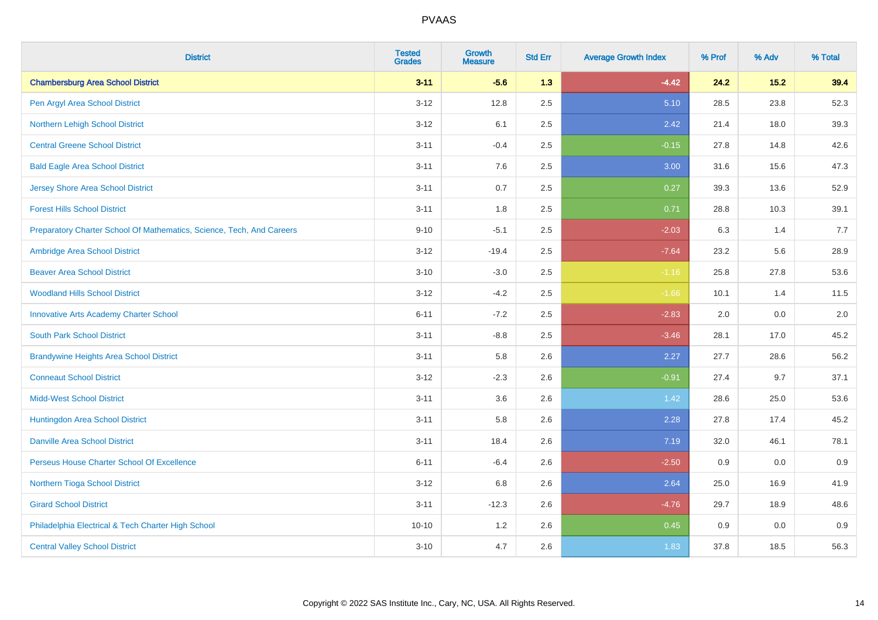| <b>District</b>                                                       | <b>Tested</b><br><b>Grades</b> | <b>Growth</b><br><b>Measure</b> | <b>Std Err</b> | <b>Average Growth Index</b> | % Prof | % Adv | % Total |
|-----------------------------------------------------------------------|--------------------------------|---------------------------------|----------------|-----------------------------|--------|-------|---------|
| <b>Chambersburg Area School District</b>                              | $3 - 11$                       | $-5.6$                          | 1.3            | $-4.42$                     | 24.2   | 15.2  | 39.4    |
| Pen Argyl Area School District                                        | $3 - 12$                       | 12.8                            | 2.5            | 5.10                        | 28.5   | 23.8  | 52.3    |
| Northern Lehigh School District                                       | $3 - 12$                       | 6.1                             | 2.5            | 2.42                        | 21.4   | 18.0  | 39.3    |
| <b>Central Greene School District</b>                                 | $3 - 11$                       | $-0.4$                          | 2.5            | $-0.15$                     | 27.8   | 14.8  | 42.6    |
| <b>Bald Eagle Area School District</b>                                | $3 - 11$                       | 7.6                             | 2.5            | 3.00                        | 31.6   | 15.6  | 47.3    |
| <b>Jersey Shore Area School District</b>                              | $3 - 11$                       | 0.7                             | 2.5            | 0.27                        | 39.3   | 13.6  | 52.9    |
| <b>Forest Hills School District</b>                                   | $3 - 11$                       | 1.8                             | 2.5            | 0.71                        | 28.8   | 10.3  | 39.1    |
| Preparatory Charter School Of Mathematics, Science, Tech, And Careers | $9 - 10$                       | $-5.1$                          | 2.5            | $-2.03$                     | 6.3    | 1.4   | 7.7     |
| Ambridge Area School District                                         | $3 - 12$                       | $-19.4$                         | 2.5            | $-7.64$                     | 23.2   | 5.6   | 28.9    |
| <b>Beaver Area School District</b>                                    | $3 - 10$                       | $-3.0$                          | 2.5            | $-1.16$                     | 25.8   | 27.8  | 53.6    |
| <b>Woodland Hills School District</b>                                 | $3 - 12$                       | $-4.2$                          | 2.5            | $-1.66$                     | 10.1   | 1.4   | 11.5    |
| <b>Innovative Arts Academy Charter School</b>                         | $6 - 11$                       | $-7.2$                          | 2.5            | $-2.83$                     | 2.0    | 0.0   | 2.0     |
| <b>South Park School District</b>                                     | $3 - 11$                       | $-8.8$                          | 2.5            | $-3.46$                     | 28.1   | 17.0  | 45.2    |
| <b>Brandywine Heights Area School District</b>                        | $3 - 11$                       | 5.8                             | 2.6            | 2.27                        | 27.7   | 28.6  | 56.2    |
| <b>Conneaut School District</b>                                       | $3 - 12$                       | $-2.3$                          | 2.6            | $-0.91$                     | 27.4   | 9.7   | 37.1    |
| <b>Midd-West School District</b>                                      | $3 - 11$                       | 3.6                             | 2.6            | 1.42                        | 28.6   | 25.0  | 53.6    |
| Huntingdon Area School District                                       | $3 - 11$                       | 5.8                             | 2.6            | 2.28                        | 27.8   | 17.4  | 45.2    |
| <b>Danville Area School District</b>                                  | $3 - 11$                       | 18.4                            | 2.6            | 7.19                        | 32.0   | 46.1  | 78.1    |
| Perseus House Charter School Of Excellence                            | $6 - 11$                       | $-6.4$                          | 2.6            | $-2.50$                     | 0.9    | 0.0   | 0.9     |
| Northern Tioga School District                                        | $3 - 12$                       | 6.8                             | 2.6            | 2.64                        | 25.0   | 16.9  | 41.9    |
| <b>Girard School District</b>                                         | $3 - 11$                       | $-12.3$                         | 2.6            | $-4.76$                     | 29.7   | 18.9  | 48.6    |
| Philadelphia Electrical & Tech Charter High School                    | $10 - 10$                      | 1.2                             | 2.6            | 0.45                        | 0.9    | 0.0   | 0.9     |
| <b>Central Valley School District</b>                                 | $3 - 10$                       | 4.7                             | 2.6            | 1.83                        | 37.8   | 18.5  | 56.3    |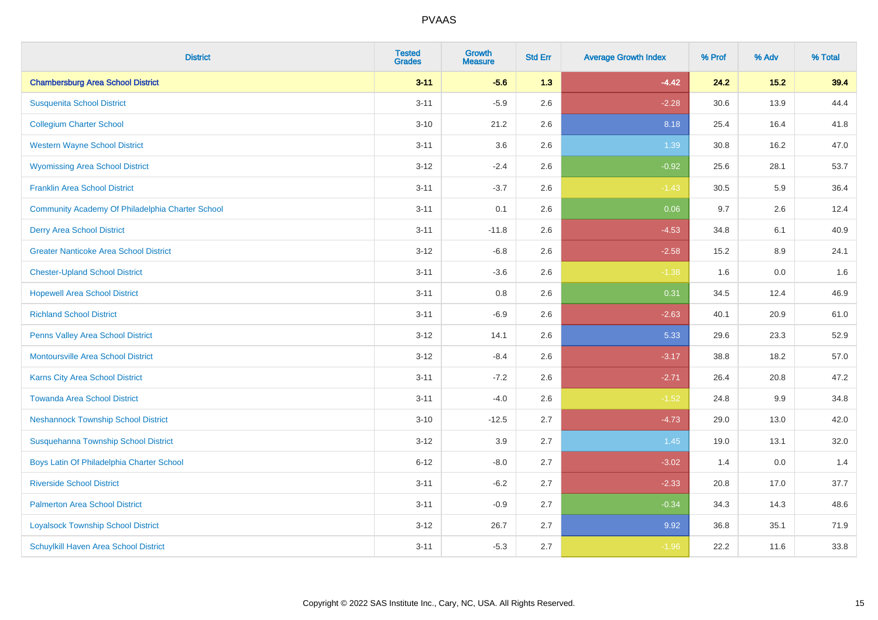| <b>District</b>                                  | <b>Tested</b><br><b>Grades</b> | <b>Growth</b><br><b>Measure</b> | <b>Std Err</b> | <b>Average Growth Index</b> | % Prof | % Adv   | % Total |
|--------------------------------------------------|--------------------------------|---------------------------------|----------------|-----------------------------|--------|---------|---------|
| <b>Chambersburg Area School District</b>         | $3 - 11$                       | $-5.6$                          | 1.3            | $-4.42$                     | 24.2   | 15.2    | 39.4    |
| <b>Susquenita School District</b>                | $3 - 11$                       | $-5.9$                          | 2.6            | $-2.28$                     | 30.6   | 13.9    | 44.4    |
| <b>Collegium Charter School</b>                  | $3 - 10$                       | 21.2                            | 2.6            | 8.18                        | 25.4   | 16.4    | 41.8    |
| <b>Western Wayne School District</b>             | $3 - 11$                       | 3.6                             | 2.6            | 1.39                        | 30.8   | 16.2    | 47.0    |
| <b>Wyomissing Area School District</b>           | $3 - 12$                       | $-2.4$                          | 2.6            | $-0.92$                     | 25.6   | 28.1    | 53.7    |
| <b>Franklin Area School District</b>             | $3 - 11$                       | $-3.7$                          | 2.6            | $-1.43$                     | 30.5   | 5.9     | 36.4    |
| Community Academy Of Philadelphia Charter School | $3 - 11$                       | 0.1                             | 2.6            | 0.06                        | 9.7    | 2.6     | 12.4    |
| <b>Derry Area School District</b>                | $3 - 11$                       | $-11.8$                         | 2.6            | $-4.53$                     | 34.8   | 6.1     | 40.9    |
| <b>Greater Nanticoke Area School District</b>    | $3 - 12$                       | $-6.8$                          | 2.6            | $-2.58$                     | 15.2   | 8.9     | 24.1    |
| <b>Chester-Upland School District</b>            | $3 - 11$                       | $-3.6$                          | 2.6            | $-1.38$                     | 1.6    | 0.0     | 1.6     |
| <b>Hopewell Area School District</b>             | $3 - 11$                       | 0.8                             | 2.6            | 0.31                        | 34.5   | 12.4    | 46.9    |
| <b>Richland School District</b>                  | $3 - 11$                       | $-6.9$                          | 2.6            | $-2.63$                     | 40.1   | 20.9    | 61.0    |
| <b>Penns Valley Area School District</b>         | $3 - 12$                       | 14.1                            | 2.6            | 5.33                        | 29.6   | 23.3    | 52.9    |
| <b>Montoursville Area School District</b>        | $3 - 12$                       | $-8.4$                          | 2.6            | $-3.17$                     | 38.8   | 18.2    | 57.0    |
| Karns City Area School District                  | $3 - 11$                       | $-7.2$                          | 2.6            | $-2.71$                     | 26.4   | 20.8    | 47.2    |
| <b>Towanda Area School District</b>              | $3 - 11$                       | $-4.0$                          | 2.6            | $-1.52$                     | 24.8   | $9.9\,$ | 34.8    |
| <b>Neshannock Township School District</b>       | $3 - 10$                       | $-12.5$                         | 2.7            | $-4.73$                     | 29.0   | 13.0    | 42.0    |
| Susquehanna Township School District             | $3 - 12$                       | 3.9                             | 2.7            | 1.45                        | 19.0   | 13.1    | 32.0    |
| Boys Latin Of Philadelphia Charter School        | $6 - 12$                       | $-8.0$                          | 2.7            | $-3.02$                     | 1.4    | 0.0     | 1.4     |
| <b>Riverside School District</b>                 | $3 - 11$                       | $-6.2$                          | 2.7            | $-2.33$                     | 20.8   | 17.0    | 37.7    |
| <b>Palmerton Area School District</b>            | $3 - 11$                       | $-0.9$                          | 2.7            | $-0.34$                     | 34.3   | 14.3    | 48.6    |
| <b>Loyalsock Township School District</b>        | $3 - 12$                       | 26.7                            | 2.7            | 9.92                        | 36.8   | 35.1    | 71.9    |
| Schuylkill Haven Area School District            | $3 - 11$                       | $-5.3$                          | 2.7            | $-1.96$                     | 22.2   | 11.6    | 33.8    |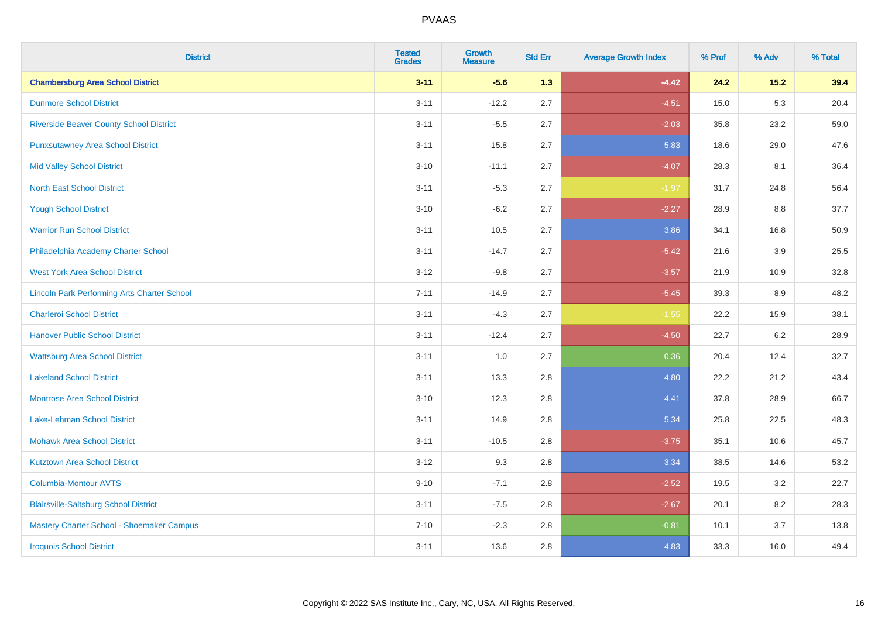| <b>District</b>                                    | <b>Tested</b><br><b>Grades</b> | <b>Growth</b><br><b>Measure</b> | <b>Std Err</b> | <b>Average Growth Index</b> | % Prof | % Adv  | % Total |
|----------------------------------------------------|--------------------------------|---------------------------------|----------------|-----------------------------|--------|--------|---------|
| <b>Chambersburg Area School District</b>           | $3 - 11$                       | $-5.6$                          | 1.3            | $-4.42$                     | 24.2   | $15.2$ | 39.4    |
| <b>Dunmore School District</b>                     | $3 - 11$                       | $-12.2$                         | 2.7            | $-4.51$                     | 15.0   | 5.3    | 20.4    |
| <b>Riverside Beaver County School District</b>     | $3 - 11$                       | $-5.5$                          | 2.7            | $-2.03$                     | 35.8   | 23.2   | 59.0    |
| <b>Punxsutawney Area School District</b>           | $3 - 11$                       | 15.8                            | 2.7            | 5.83                        | 18.6   | 29.0   | 47.6    |
| <b>Mid Valley School District</b>                  | $3 - 10$                       | $-11.1$                         | 2.7            | $-4.07$                     | 28.3   | 8.1    | 36.4    |
| <b>North East School District</b>                  | $3 - 11$                       | $-5.3$                          | 2.7            | $-1.97$                     | 31.7   | 24.8   | 56.4    |
| <b>Yough School District</b>                       | $3 - 10$                       | $-6.2$                          | 2.7            | $-2.27$                     | 28.9   | 8.8    | 37.7    |
| <b>Warrior Run School District</b>                 | $3 - 11$                       | 10.5                            | 2.7            | 3.86                        | 34.1   | 16.8   | 50.9    |
| Philadelphia Academy Charter School                | $3 - 11$                       | $-14.7$                         | 2.7            | $-5.42$                     | 21.6   | 3.9    | 25.5    |
| <b>West York Area School District</b>              | $3-12$                         | $-9.8$                          | 2.7            | $-3.57$                     | 21.9   | 10.9   | 32.8    |
| <b>Lincoln Park Performing Arts Charter School</b> | $7 - 11$                       | $-14.9$                         | 2.7            | $-5.45$                     | 39.3   | 8.9    | 48.2    |
| <b>Charleroi School District</b>                   | $3 - 11$                       | $-4.3$                          | 2.7            | $-1.55$                     | 22.2   | 15.9   | 38.1    |
| <b>Hanover Public School District</b>              | $3 - 11$                       | $-12.4$                         | 2.7            | $-4.50$                     | 22.7   | 6.2    | 28.9    |
| <b>Wattsburg Area School District</b>              | $3 - 11$                       | 1.0                             | 2.7            | 0.36                        | 20.4   | 12.4   | 32.7    |
| <b>Lakeland School District</b>                    | $3 - 11$                       | 13.3                            | 2.8            | 4.80                        | 22.2   | 21.2   | 43.4    |
| <b>Montrose Area School District</b>               | $3 - 10$                       | 12.3                            | 2.8            | 4.41                        | 37.8   | 28.9   | 66.7    |
| Lake-Lehman School District                        | $3 - 11$                       | 14.9                            | 2.8            | 5.34                        | 25.8   | 22.5   | 48.3    |
| <b>Mohawk Area School District</b>                 | $3 - 11$                       | $-10.5$                         | 2.8            | $-3.75$                     | 35.1   | 10.6   | 45.7    |
| <b>Kutztown Area School District</b>               | $3-12$                         | 9.3                             | 2.8            | 3.34                        | 38.5   | 14.6   | 53.2    |
| <b>Columbia-Montour AVTS</b>                       | $9 - 10$                       | $-7.1$                          | 2.8            | $-2.52$                     | 19.5   | 3.2    | 22.7    |
| <b>Blairsville-Saltsburg School District</b>       | $3 - 11$                       | $-7.5$                          | 2.8            | $-2.67$                     | 20.1   | 8.2    | 28.3    |
| Mastery Charter School - Shoemaker Campus          | $7 - 10$                       | $-2.3$                          | 2.8            | $-0.81$                     | 10.1   | 3.7    | 13.8    |
| <b>Iroquois School District</b>                    | $3 - 11$                       | 13.6                            | 2.8            | 4.83                        | 33.3   | 16.0   | 49.4    |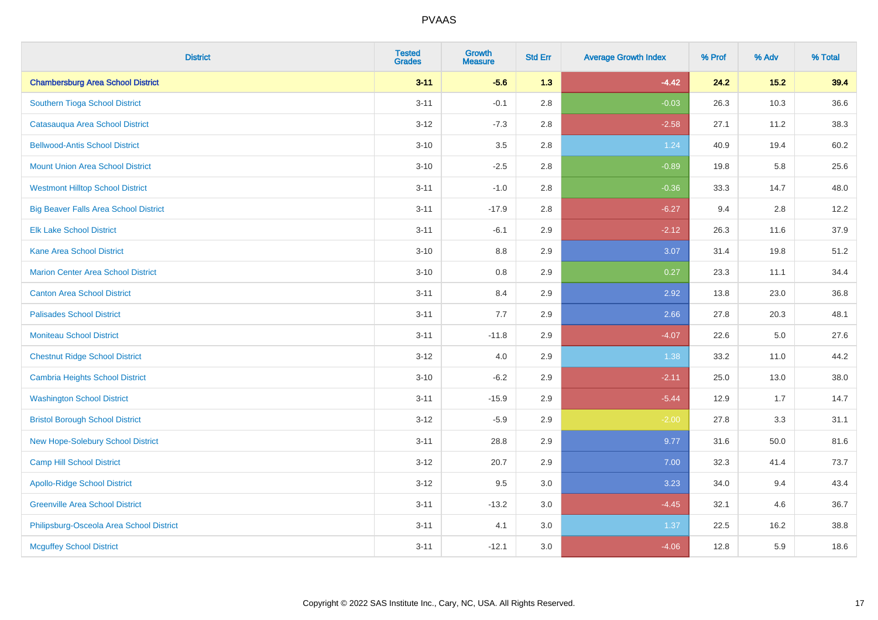| <b>District</b>                              | <b>Tested</b><br><b>Grades</b> | <b>Growth</b><br><b>Measure</b> | <b>Std Err</b> | <b>Average Growth Index</b> | % Prof | % Adv  | % Total |
|----------------------------------------------|--------------------------------|---------------------------------|----------------|-----------------------------|--------|--------|---------|
| <b>Chambersburg Area School District</b>     | $3 - 11$                       | $-5.6$                          | 1.3            | $-4.42$                     | 24.2   | $15.2$ | 39.4    |
| Southern Tioga School District               | $3 - 11$                       | $-0.1$                          | 2.8            | $-0.03$                     | 26.3   | 10.3   | 36.6    |
| Catasauqua Area School District              | $3 - 12$                       | $-7.3$                          | 2.8            | $-2.58$                     | 27.1   | 11.2   | 38.3    |
| <b>Bellwood-Antis School District</b>        | $3 - 10$                       | $3.5\,$                         | 2.8            | 1.24                        | 40.9   | 19.4   | 60.2    |
| <b>Mount Union Area School District</b>      | $3 - 10$                       | $-2.5$                          | 2.8            | $-0.89$                     | 19.8   | 5.8    | 25.6    |
| <b>Westmont Hilltop School District</b>      | $3 - 11$                       | $-1.0$                          | 2.8            | $-0.36$                     | 33.3   | 14.7   | 48.0    |
| <b>Big Beaver Falls Area School District</b> | $3 - 11$                       | $-17.9$                         | 2.8            | $-6.27$                     | 9.4    | 2.8    | 12.2    |
| <b>Elk Lake School District</b>              | $3 - 11$                       | $-6.1$                          | 2.9            | $-2.12$                     | 26.3   | 11.6   | 37.9    |
| <b>Kane Area School District</b>             | $3 - 10$                       | 8.8                             | 2.9            | 3.07                        | 31.4   | 19.8   | 51.2    |
| <b>Marion Center Area School District</b>    | $3 - 10$                       | $0.8\,$                         | 2.9            | 0.27                        | 23.3   | 11.1   | 34.4    |
| <b>Canton Area School District</b>           | $3 - 11$                       | 8.4                             | 2.9            | 2.92                        | 13.8   | 23.0   | 36.8    |
| <b>Palisades School District</b>             | $3 - 11$                       | 7.7                             | 2.9            | 2.66                        | 27.8   | 20.3   | 48.1    |
| <b>Moniteau School District</b>              | $3 - 11$                       | $-11.8$                         | 2.9            | $-4.07$                     | 22.6   | 5.0    | 27.6    |
| <b>Chestnut Ridge School District</b>        | $3-12$                         | 4.0                             | 2.9            | 1.38                        | 33.2   | 11.0   | 44.2    |
| <b>Cambria Heights School District</b>       | $3 - 10$                       | $-6.2$                          | 2.9            | $-2.11$                     | 25.0   | 13.0   | 38.0    |
| <b>Washington School District</b>            | $3 - 11$                       | $-15.9$                         | 2.9            | $-5.44$                     | 12.9   | 1.7    | 14.7    |
| <b>Bristol Borough School District</b>       | $3 - 12$                       | $-5.9$                          | 2.9            | $-2.00$                     | 27.8   | 3.3    | 31.1    |
| New Hope-Solebury School District            | $3 - 11$                       | 28.8                            | 2.9            | 9.77                        | 31.6   | 50.0   | 81.6    |
| <b>Camp Hill School District</b>             | $3 - 12$                       | 20.7                            | 2.9            | 7.00                        | 32.3   | 41.4   | 73.7    |
| <b>Apollo-Ridge School District</b>          | $3 - 12$                       | 9.5                             | 3.0            | 3.23                        | 34.0   | 9.4    | 43.4    |
| <b>Greenville Area School District</b>       | $3 - 11$                       | $-13.2$                         | 3.0            | $-4.45$                     | 32.1   | 4.6    | 36.7    |
| Philipsburg-Osceola Area School District     | $3 - 11$                       | 4.1                             | 3.0            | 1.37                        | 22.5   | 16.2   | 38.8    |
| <b>Mcguffey School District</b>              | $3 - 11$                       | $-12.1$                         | 3.0            | $-4.06$                     | 12.8   | 5.9    | 18.6    |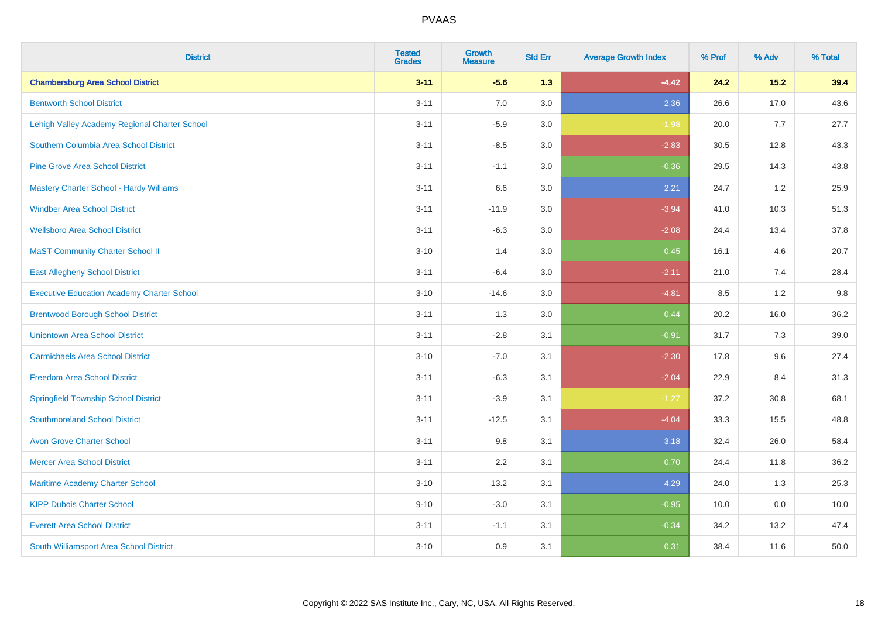| <b>District</b>                                   | <b>Tested</b><br><b>Grades</b> | <b>Growth</b><br><b>Measure</b> | <b>Std Err</b> | <b>Average Growth Index</b> | % Prof | % Adv | % Total |
|---------------------------------------------------|--------------------------------|---------------------------------|----------------|-----------------------------|--------|-------|---------|
| <b>Chambersburg Area School District</b>          | $3 - 11$                       | $-5.6$                          | 1.3            | $-4.42$                     | 24.2   | 15.2  | 39.4    |
| <b>Bentworth School District</b>                  | $3 - 11$                       | 7.0                             | 3.0            | 2.36                        | 26.6   | 17.0  | 43.6    |
| Lehigh Valley Academy Regional Charter School     | $3 - 11$                       | $-5.9$                          | 3.0            | $-1.98$                     | 20.0   | 7.7   | 27.7    |
| Southern Columbia Area School District            | $3 - 11$                       | $-8.5$                          | 3.0            | $-2.83$                     | 30.5   | 12.8  | 43.3    |
| <b>Pine Grove Area School District</b>            | $3 - 11$                       | $-1.1$                          | 3.0            | $-0.36$                     | 29.5   | 14.3  | 43.8    |
| Mastery Charter School - Hardy Williams           | $3 - 11$                       | 6.6                             | 3.0            | 2.21                        | 24.7   | 1.2   | 25.9    |
| <b>Windber Area School District</b>               | $3 - 11$                       | $-11.9$                         | 3.0            | $-3.94$                     | 41.0   | 10.3  | 51.3    |
| <b>Wellsboro Area School District</b>             | $3 - 11$                       | $-6.3$                          | 3.0            | $-2.08$                     | 24.4   | 13.4  | 37.8    |
| <b>MaST Community Charter School II</b>           | $3 - 10$                       | 1.4                             | 3.0            | 0.45                        | 16.1   | 4.6   | 20.7    |
| <b>East Allegheny School District</b>             | $3 - 11$                       | $-6.4$                          | 3.0            | $-2.11$                     | 21.0   | 7.4   | 28.4    |
| <b>Executive Education Academy Charter School</b> | $3 - 10$                       | $-14.6$                         | 3.0            | $-4.81$                     | 8.5    | 1.2   | 9.8     |
| <b>Brentwood Borough School District</b>          | $3 - 11$                       | 1.3                             | 3.0            | 0.44                        | 20.2   | 16.0  | 36.2    |
| <b>Uniontown Area School District</b>             | $3 - 11$                       | $-2.8$                          | 3.1            | $-0.91$                     | 31.7   | 7.3   | 39.0    |
| <b>Carmichaels Area School District</b>           | $3 - 10$                       | $-7.0$                          | 3.1            | $-2.30$                     | 17.8   | 9.6   | 27.4    |
| <b>Freedom Area School District</b>               | $3 - 11$                       | $-6.3$                          | 3.1            | $-2.04$                     | 22.9   | 8.4   | 31.3    |
| <b>Springfield Township School District</b>       | $3 - 11$                       | $-3.9$                          | 3.1            | $-1.27$                     | 37.2   | 30.8  | 68.1    |
| <b>Southmoreland School District</b>              | $3 - 11$                       | $-12.5$                         | 3.1            | $-4.04$                     | 33.3   | 15.5  | 48.8    |
| <b>Avon Grove Charter School</b>                  | $3 - 11$                       | 9.8                             | 3.1            | 3.18                        | 32.4   | 26.0  | 58.4    |
| <b>Mercer Area School District</b>                | $3 - 11$                       | 2.2                             | 3.1            | 0.70                        | 24.4   | 11.8  | 36.2    |
| <b>Maritime Academy Charter School</b>            | $3 - 10$                       | 13.2                            | 3.1            | 4.29                        | 24.0   | 1.3   | 25.3    |
| <b>KIPP Dubois Charter School</b>                 | $9 - 10$                       | $-3.0$                          | 3.1            | $-0.95$                     | 10.0   | 0.0   | 10.0    |
| <b>Everett Area School District</b>               | $3 - 11$                       | $-1.1$                          | 3.1            | $-0.34$                     | 34.2   | 13.2  | 47.4    |
| South Williamsport Area School District           | $3 - 10$                       | 0.9                             | 3.1            | 0.31                        | 38.4   | 11.6  | 50.0    |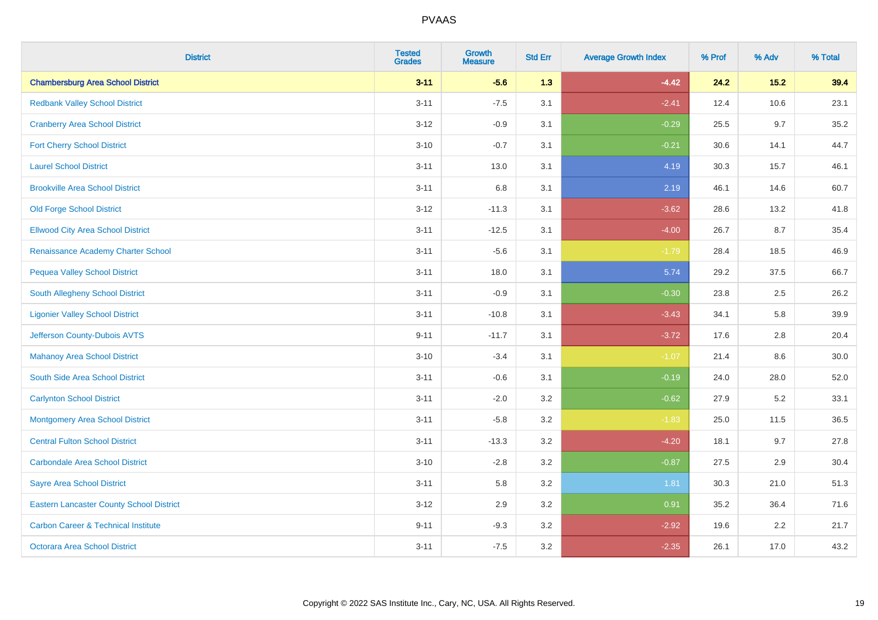| <b>District</b>                                 | <b>Tested</b><br><b>Grades</b> | <b>Growth</b><br><b>Measure</b> | <b>Std Err</b> | <b>Average Growth Index</b> | % Prof | % Adv  | % Total |
|-------------------------------------------------|--------------------------------|---------------------------------|----------------|-----------------------------|--------|--------|---------|
| <b>Chambersburg Area School District</b>        | $3 - 11$                       | $-5.6$                          | 1.3            | $-4.42$                     | 24.2   | $15.2$ | 39.4    |
| <b>Redbank Valley School District</b>           | $3 - 11$                       | $-7.5$                          | 3.1            | $-2.41$                     | 12.4   | 10.6   | 23.1    |
| <b>Cranberry Area School District</b>           | $3 - 12$                       | $-0.9$                          | 3.1            | $-0.29$                     | 25.5   | 9.7    | 35.2    |
| <b>Fort Cherry School District</b>              | $3 - 10$                       | $-0.7$                          | 3.1            | $-0.21$                     | 30.6   | 14.1   | 44.7    |
| <b>Laurel School District</b>                   | $3 - 11$                       | 13.0                            | 3.1            | 4.19                        | 30.3   | 15.7   | 46.1    |
| <b>Brookville Area School District</b>          | $3 - 11$                       | $6.8\,$                         | 3.1            | 2.19                        | 46.1   | 14.6   | 60.7    |
| <b>Old Forge School District</b>                | $3 - 12$                       | $-11.3$                         | 3.1            | $-3.62$                     | 28.6   | 13.2   | 41.8    |
| <b>Ellwood City Area School District</b>        | $3 - 11$                       | $-12.5$                         | 3.1            | $-4.00$                     | 26.7   | 8.7    | 35.4    |
| Renaissance Academy Charter School              | $3 - 11$                       | $-5.6$                          | 3.1            | $-1.79$                     | 28.4   | 18.5   | 46.9    |
| <b>Pequea Valley School District</b>            | $3 - 11$                       | 18.0                            | 3.1            | 5.74                        | 29.2   | 37.5   | 66.7    |
| South Allegheny School District                 | $3 - 11$                       | $-0.9$                          | 3.1            | $-0.30$                     | 23.8   | 2.5    | 26.2    |
| <b>Ligonier Valley School District</b>          | $3 - 11$                       | $-10.8$                         | 3.1            | $-3.43$                     | 34.1   | 5.8    | 39.9    |
| Jefferson County-Dubois AVTS                    | $9 - 11$                       | $-11.7$                         | 3.1            | $-3.72$                     | 17.6   | 2.8    | 20.4    |
| <b>Mahanoy Area School District</b>             | $3 - 10$                       | $-3.4$                          | 3.1            | $-1.07$                     | 21.4   | 8.6    | 30.0    |
| South Side Area School District                 | $3 - 11$                       | $-0.6$                          | 3.1            | $-0.19$                     | 24.0   | 28.0   | 52.0    |
| <b>Carlynton School District</b>                | $3 - 11$                       | $-2.0$                          | 3.2            | $-0.62$                     | 27.9   | 5.2    | 33.1    |
| <b>Montgomery Area School District</b>          | $3 - 11$                       | $-5.8$                          | 3.2            | $-1.83$                     | 25.0   | 11.5   | 36.5    |
| <b>Central Fulton School District</b>           | $3 - 11$                       | $-13.3$                         | 3.2            | $-4.20$                     | 18.1   | 9.7    | 27.8    |
| <b>Carbondale Area School District</b>          | $3 - 10$                       | $-2.8$                          | 3.2            | $-0.87$                     | 27.5   | 2.9    | 30.4    |
| <b>Sayre Area School District</b>               | $3 - 11$                       | 5.8                             | 3.2            | 1.81                        | 30.3   | 21.0   | 51.3    |
| <b>Eastern Lancaster County School District</b> | $3 - 12$                       | 2.9                             | 3.2            | 0.91                        | 35.2   | 36.4   | 71.6    |
| <b>Carbon Career &amp; Technical Institute</b>  | $9 - 11$                       | $-9.3$                          | 3.2            | $-2.92$                     | 19.6   | 2.2    | 21.7    |
| Octorara Area School District                   | $3 - 11$                       | $-7.5$                          | 3.2            | $-2.35$                     | 26.1   | 17.0   | 43.2    |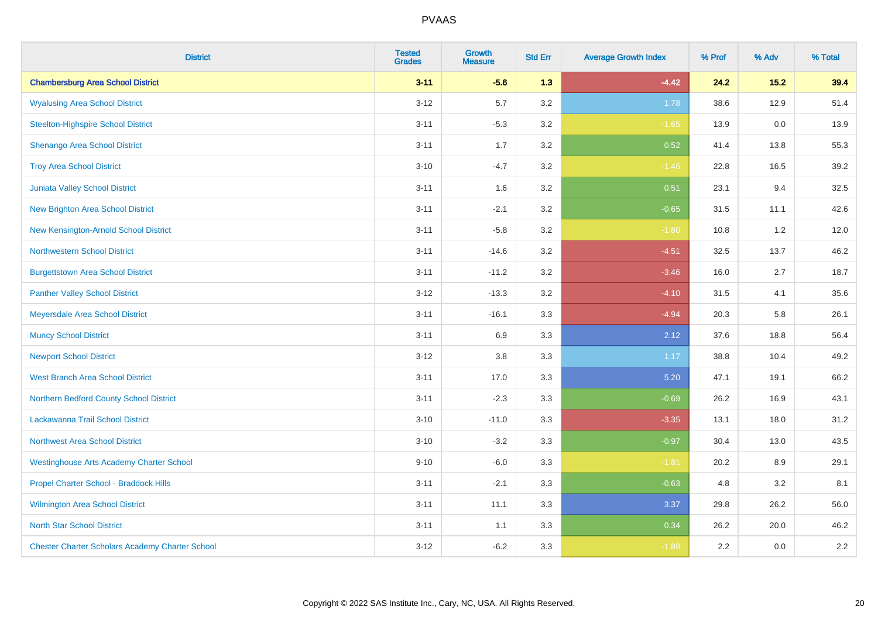| <b>District</b>                                        | <b>Tested</b><br><b>Grades</b> | <b>Growth</b><br><b>Measure</b> | <b>Std Err</b> | <b>Average Growth Index</b> | % Prof | % Adv | % Total |
|--------------------------------------------------------|--------------------------------|---------------------------------|----------------|-----------------------------|--------|-------|---------|
| <b>Chambersburg Area School District</b>               | $3 - 11$                       | $-5.6$                          | 1.3            | $-4.42$                     | 24.2   | 15.2  | 39.4    |
| <b>Wyalusing Area School District</b>                  | $3 - 12$                       | 5.7                             | $3.2\,$        | 1.78                        | 38.6   | 12.9  | 51.4    |
| <b>Steelton-Highspire School District</b>              | $3 - 11$                       | $-5.3$                          | 3.2            | $-1.65$                     | 13.9   | 0.0   | 13.9    |
| Shenango Area School District                          | $3 - 11$                       | 1.7                             | 3.2            | 0.52                        | 41.4   | 13.8  | 55.3    |
| <b>Troy Area School District</b>                       | $3 - 10$                       | $-4.7$                          | 3.2            | $-1.46$                     | 22.8   | 16.5  | 39.2    |
| Juniata Valley School District                         | $3 - 11$                       | 1.6                             | 3.2            | 0.51                        | 23.1   | 9.4   | 32.5    |
| <b>New Brighton Area School District</b>               | $3 - 11$                       | $-2.1$                          | 3.2            | $-0.65$                     | 31.5   | 11.1  | 42.6    |
| New Kensington-Arnold School District                  | $3 - 11$                       | $-5.8$                          | 3.2            | $-1.80$                     | 10.8   | 1.2   | 12.0    |
| <b>Northwestern School District</b>                    | $3 - 11$                       | $-14.6$                         | 3.2            | $-4.51$                     | 32.5   | 13.7  | 46.2    |
| <b>Burgettstown Area School District</b>               | $3 - 11$                       | $-11.2$                         | 3.2            | $-3.46$                     | 16.0   | 2.7   | 18.7    |
| <b>Panther Valley School District</b>                  | $3 - 12$                       | $-13.3$                         | 3.2            | $-4.10$                     | 31.5   | 4.1   | 35.6    |
| Meyersdale Area School District                        | $3 - 11$                       | $-16.1$                         | 3.3            | $-4.94$                     | 20.3   | 5.8   | 26.1    |
| <b>Muncy School District</b>                           | $3 - 11$                       | 6.9                             | 3.3            | 2.12                        | 37.6   | 18.8  | 56.4    |
| <b>Newport School District</b>                         | $3 - 12$                       | $3.8\,$                         | 3.3            | 1.17                        | 38.8   | 10.4  | 49.2    |
| <b>West Branch Area School District</b>                | $3 - 11$                       | 17.0                            | 3.3            | 5.20                        | 47.1   | 19.1  | 66.2    |
| Northern Bedford County School District                | $3 - 11$                       | $-2.3$                          | 3.3            | $-0.69$                     | 26.2   | 16.9  | 43.1    |
| Lackawanna Trail School District                       | $3 - 10$                       | $-11.0$                         | 3.3            | $-3.35$                     | 13.1   | 18.0  | 31.2    |
| <b>Northwest Area School District</b>                  | $3 - 10$                       | $-3.2$                          | 3.3            | $-0.97$                     | 30.4   | 13.0  | 43.5    |
| <b>Westinghouse Arts Academy Charter School</b>        | $9 - 10$                       | $-6.0$                          | 3.3            | $-1.81$                     | 20.2   | 8.9   | 29.1    |
| Propel Charter School - Braddock Hills                 | $3 - 11$                       | $-2.1$                          | 3.3            | $-0.63$                     | 4.8    | 3.2   | 8.1     |
| Wilmington Area School District                        | $3 - 11$                       | 11.1                            | 3.3            | 3.37                        | 29.8   | 26.2  | 56.0    |
| <b>North Star School District</b>                      | $3 - 11$                       | 1.1                             | 3.3            | 0.34                        | 26.2   | 20.0  | 46.2    |
| <b>Chester Charter Scholars Academy Charter School</b> | $3 - 12$                       | $-6.2$                          | 3.3            | $-1.88$                     | 2.2    | 0.0   | 2.2     |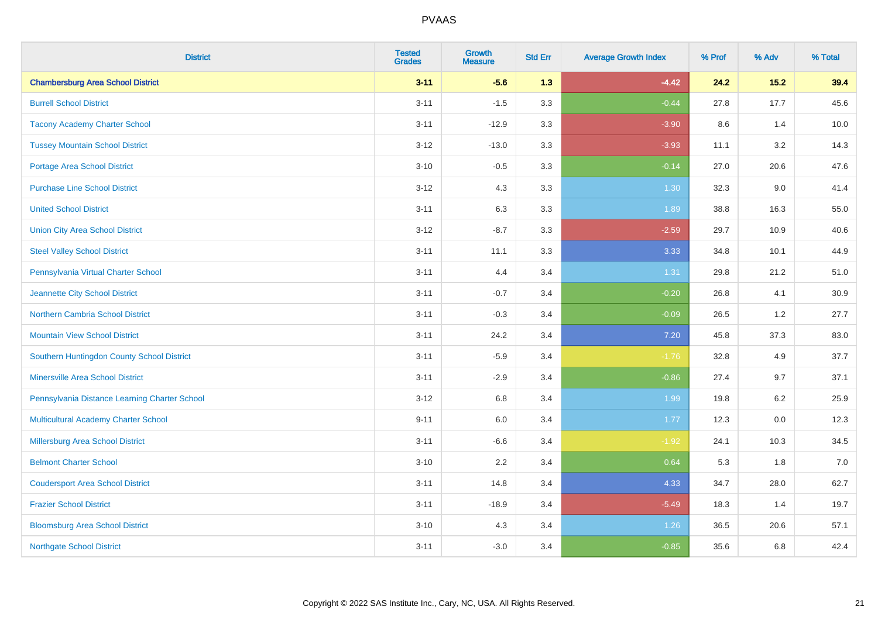| <b>District</b>                               | <b>Tested</b><br><b>Grades</b> | <b>Growth</b><br><b>Measure</b> | <b>Std Err</b> | <b>Average Growth Index</b> | % Prof | % Adv   | % Total |
|-----------------------------------------------|--------------------------------|---------------------------------|----------------|-----------------------------|--------|---------|---------|
| <b>Chambersburg Area School District</b>      | $3 - 11$                       | $-5.6$                          | 1.3            | $-4.42$                     | 24.2   | 15.2    | 39.4    |
| <b>Burrell School District</b>                | $3 - 11$                       | $-1.5$                          | 3.3            | $-0.44$                     | 27.8   | 17.7    | 45.6    |
| <b>Tacony Academy Charter School</b>          | $3 - 11$                       | $-12.9$                         | 3.3            | $-3.90$                     | 8.6    | 1.4     | 10.0    |
| <b>Tussey Mountain School District</b>        | $3 - 12$                       | $-13.0$                         | 3.3            | $-3.93$                     | 11.1   | 3.2     | 14.3    |
| Portage Area School District                  | $3 - 10$                       | $-0.5$                          | 3.3            | $-0.14$                     | 27.0   | 20.6    | 47.6    |
| <b>Purchase Line School District</b>          | $3 - 12$                       | 4.3                             | 3.3            | 1.30                        | 32.3   | 9.0     | 41.4    |
| <b>United School District</b>                 | $3 - 11$                       | 6.3                             | 3.3            | 1.89                        | 38.8   | 16.3    | 55.0    |
| <b>Union City Area School District</b>        | $3 - 12$                       | $-8.7$                          | 3.3            | $-2.59$                     | 29.7   | 10.9    | 40.6    |
| <b>Steel Valley School District</b>           | $3 - 11$                       | 11.1                            | 3.3            | 3.33                        | 34.8   | 10.1    | 44.9    |
| Pennsylvania Virtual Charter School           | $3 - 11$                       | 4.4                             | 3.4            | 1.31                        | 29.8   | 21.2    | 51.0    |
| Jeannette City School District                | $3 - 11$                       | $-0.7$                          | 3.4            | $-0.20$                     | 26.8   | 4.1     | 30.9    |
| Northern Cambria School District              | $3 - 11$                       | $-0.3$                          | 3.4            | $-0.09$                     | 26.5   | 1.2     | 27.7    |
| <b>Mountain View School District</b>          | $3 - 11$                       | 24.2                            | 3.4            | 7.20                        | 45.8   | 37.3    | 83.0    |
| Southern Huntingdon County School District    | $3 - 11$                       | $-5.9$                          | 3.4            | $-1.76$                     | 32.8   | 4.9     | 37.7    |
| <b>Minersville Area School District</b>       | $3 - 11$                       | $-2.9$                          | 3.4            | $-0.86$                     | 27.4   | 9.7     | 37.1    |
| Pennsylvania Distance Learning Charter School | $3 - 12$                       | 6.8                             | 3.4            | 1.99                        | 19.8   | 6.2     | 25.9    |
| <b>Multicultural Academy Charter School</b>   | $9 - 11$                       | 6.0                             | 3.4            | 1.77                        | 12.3   | $0.0\,$ | 12.3    |
| Millersburg Area School District              | $3 - 11$                       | $-6.6$                          | 3.4            | $-1.92$                     | 24.1   | 10.3    | 34.5    |
| <b>Belmont Charter School</b>                 | $3 - 10$                       | 2.2                             | 3.4            | 0.64                        | 5.3    | 1.8     | 7.0     |
| <b>Coudersport Area School District</b>       | $3 - 11$                       | 14.8                            | 3.4            | 4.33                        | 34.7   | 28.0    | 62.7    |
| <b>Frazier School District</b>                | $3 - 11$                       | $-18.9$                         | 3.4            | $-5.49$                     | 18.3   | 1.4     | 19.7    |
| <b>Bloomsburg Area School District</b>        | $3 - 10$                       | 4.3                             | 3.4            | 1.26                        | 36.5   | 20.6    | 57.1    |
| <b>Northgate School District</b>              | $3 - 11$                       | $-3.0$                          | 3.4            | $-0.85$                     | 35.6   | 6.8     | 42.4    |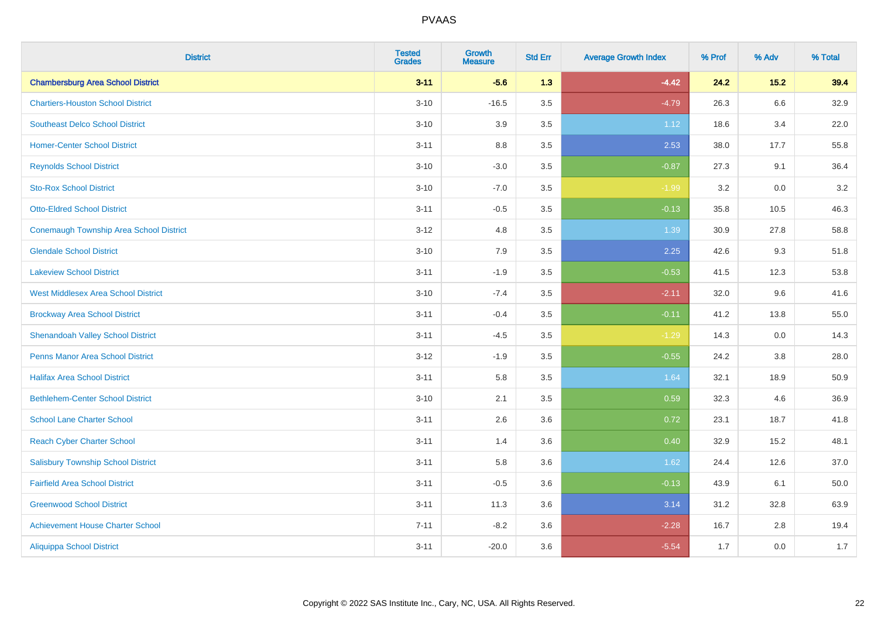| <b>District</b>                            | <b>Tested</b><br><b>Grades</b> | <b>Growth</b><br><b>Measure</b> | <b>Std Err</b> | <b>Average Growth Index</b> | % Prof | % Adv | % Total |
|--------------------------------------------|--------------------------------|---------------------------------|----------------|-----------------------------|--------|-------|---------|
| <b>Chambersburg Area School District</b>   | $3 - 11$                       | $-5.6$                          | 1.3            | $-4.42$                     | 24.2   | 15.2  | 39.4    |
| <b>Chartiers-Houston School District</b>   | $3 - 10$                       | $-16.5$                         | 3.5            | $-4.79$                     | 26.3   | 6.6   | 32.9    |
| <b>Southeast Delco School District</b>     | $3 - 10$                       | 3.9                             | 3.5            | 1.12                        | 18.6   | 3.4   | 22.0    |
| <b>Homer-Center School District</b>        | $3 - 11$                       | $8.8\,$                         | 3.5            | 2.53                        | 38.0   | 17.7  | 55.8    |
| <b>Reynolds School District</b>            | $3 - 10$                       | $-3.0$                          | 3.5            | $-0.87$                     | 27.3   | 9.1   | 36.4    |
| <b>Sto-Rox School District</b>             | $3 - 10$                       | $-7.0$                          | 3.5            | $-1.99$                     | 3.2    | 0.0   | $3.2\,$ |
| <b>Otto-Eldred School District</b>         | $3 - 11$                       | $-0.5$                          | 3.5            | $-0.13$                     | 35.8   | 10.5  | 46.3    |
| Conemaugh Township Area School District    | $3 - 12$                       | 4.8                             | 3.5            | 1.39                        | 30.9   | 27.8  | 58.8    |
| <b>Glendale School District</b>            | $3 - 10$                       | 7.9                             | 3.5            | 2.25                        | 42.6   | 9.3   | 51.8    |
| <b>Lakeview School District</b>            | $3 - 11$                       | $-1.9$                          | 3.5            | $-0.53$                     | 41.5   | 12.3  | 53.8    |
| <b>West Middlesex Area School District</b> | $3 - 10$                       | $-7.4$                          | 3.5            | $-2.11$                     | 32.0   | 9.6   | 41.6    |
| <b>Brockway Area School District</b>       | $3 - 11$                       | $-0.4$                          | 3.5            | $-0.11$                     | 41.2   | 13.8  | 55.0    |
| <b>Shenandoah Valley School District</b>   | $3 - 11$                       | $-4.5$                          | 3.5            | $-1.29$                     | 14.3   | 0.0   | 14.3    |
| <b>Penns Manor Area School District</b>    | $3-12$                         | $-1.9$                          | 3.5            | $-0.55$                     | 24.2   | 3.8   | 28.0    |
| <b>Halifax Area School District</b>        | $3 - 11$                       | 5.8                             | 3.5            | 1.64                        | 32.1   | 18.9  | 50.9    |
| <b>Bethlehem-Center School District</b>    | $3 - 10$                       | 2.1                             | 3.5            | 0.59                        | 32.3   | 4.6   | 36.9    |
| <b>School Lane Charter School</b>          | $3 - 11$                       | 2.6                             | 3.6            | 0.72                        | 23.1   | 18.7  | 41.8    |
| <b>Reach Cyber Charter School</b>          | $3 - 11$                       | 1.4                             | 3.6            | 0.40                        | 32.9   | 15.2  | 48.1    |
| <b>Salisbury Township School District</b>  | $3 - 11$                       | 5.8                             | 3.6            | 1.62                        | 24.4   | 12.6  | 37.0    |
| <b>Fairfield Area School District</b>      | $3 - 11$                       | $-0.5$                          | 3.6            | $-0.13$                     | 43.9   | 6.1   | 50.0    |
| <b>Greenwood School District</b>           | $3 - 11$                       | 11.3                            | 3.6            | 3.14                        | 31.2   | 32.8  | 63.9    |
| <b>Achievement House Charter School</b>    | $7 - 11$                       | $-8.2$                          | 3.6            | $-2.28$                     | 16.7   | 2.8   | 19.4    |
| <b>Aliquippa School District</b>           | $3 - 11$                       | $-20.0$                         | 3.6            | $-5.54$                     | 1.7    | 0.0   | 1.7     |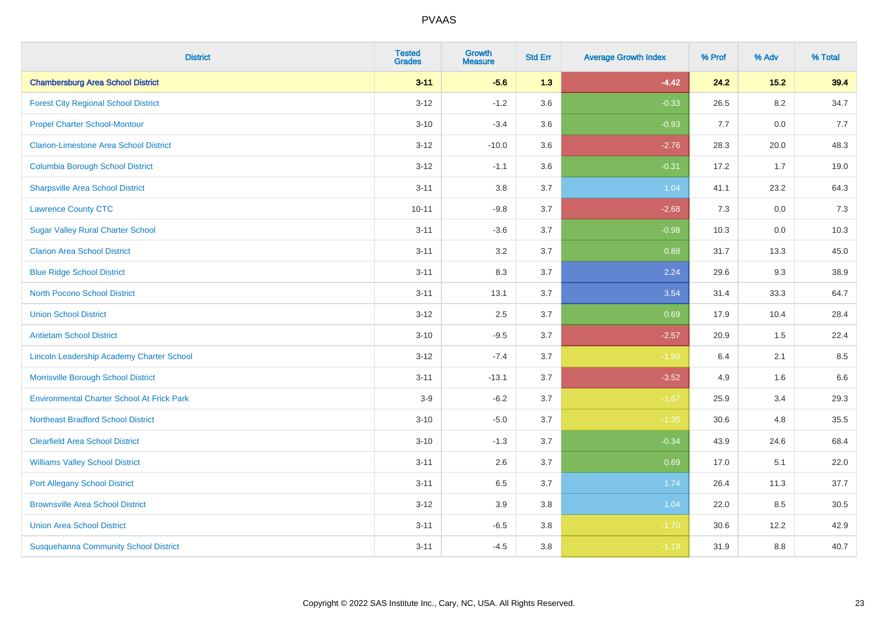| <b>District</b>                                   | <b>Tested</b><br><b>Grades</b> | <b>Growth</b><br><b>Measure</b> | <b>Std Err</b> | <b>Average Growth Index</b> | % Prof | % Adv   | % Total |
|---------------------------------------------------|--------------------------------|---------------------------------|----------------|-----------------------------|--------|---------|---------|
| <b>Chambersburg Area School District</b>          | $3 - 11$                       | $-5.6$                          | 1.3            | $-4.42$                     | 24.2   | 15.2    | 39.4    |
| <b>Forest City Regional School District</b>       | $3 - 12$                       | $-1.2$                          | 3.6            | $-0.33$                     | 26.5   | $8.2\,$ | 34.7    |
| <b>Propel Charter School-Montour</b>              | $3 - 10$                       | $-3.4$                          | 3.6            | $-0.93$                     | 7.7    | 0.0     | 7.7     |
| <b>Clarion-Limestone Area School District</b>     | $3 - 12$                       | $-10.0$                         | 3.6            | $-2.76$                     | 28.3   | 20.0    | 48.3    |
| <b>Columbia Borough School District</b>           | $3 - 12$                       | $-1.1$                          | 3.6            | $-0.31$                     | 17.2   | 1.7     | 19.0    |
| <b>Sharpsville Area School District</b>           | $3 - 11$                       | 3.8                             | 3.7            | 1.04                        | 41.1   | 23.2    | 64.3    |
| <b>Lawrence County CTC</b>                        | $10 - 11$                      | $-9.8$                          | 3.7            | $-2.68$                     | 7.3    | 0.0     | 7.3     |
| <b>Sugar Valley Rural Charter School</b>          | $3 - 11$                       | $-3.6$                          | 3.7            | $-0.98$                     | 10.3   | 0.0     | 10.3    |
| <b>Clarion Area School District</b>               | $3 - 11$                       | 3.2                             | 3.7            | 0.88                        | 31.7   | 13.3    | 45.0    |
| <b>Blue Ridge School District</b>                 | $3 - 11$                       | 8.3                             | 3.7            | 2.24                        | 29.6   | 9.3     | 38.9    |
| <b>North Pocono School District</b>               | $3 - 11$                       | 13.1                            | 3.7            | 3.54                        | 31.4   | 33.3    | 64.7    |
| <b>Union School District</b>                      | $3 - 12$                       | 2.5                             | 3.7            | 0.69                        | 17.9   | 10.4    | 28.4    |
| <b>Antietam School District</b>                   | $3 - 10$                       | $-9.5$                          | 3.7            | $-2.57$                     | 20.9   | 1.5     | 22.4    |
| Lincoln Leadership Academy Charter School         | $3 - 12$                       | $-7.4$                          | 3.7            | $-1.99$                     | 6.4    | 2.1     | 8.5     |
| Morrisville Borough School District               | $3 - 11$                       | $-13.1$                         | 3.7            | $-3.52$                     | 4.9    | 1.6     | 6.6     |
| <b>Environmental Charter School At Frick Park</b> | $3-9$                          | $-6.2$                          | 3.7            | $-1.67$                     | 25.9   | 3.4     | 29.3    |
| <b>Northeast Bradford School District</b>         | $3 - 10$                       | $-5.0$                          | 3.7            | $-1.35$                     | 30.6   | 4.8     | 35.5    |
| <b>Clearfield Area School District</b>            | $3 - 10$                       | $-1.3$                          | 3.7            | $-0.34$                     | 43.9   | 24.6    | 68.4    |
| <b>Williams Valley School District</b>            | $3 - 11$                       | 2.6                             | 3.7            | 0.69                        | 17.0   | 5.1     | 22.0    |
| <b>Port Allegany School District</b>              | $3 - 11$                       | 6.5                             | 3.7            | 1.74                        | 26.4   | 11.3    | 37.7    |
| <b>Brownsville Area School District</b>           | $3 - 12$                       | 3.9                             | 3.8            | 1.04                        | 22.0   | 8.5     | 30.5    |
| <b>Union Area School District</b>                 | $3 - 11$                       | $-6.5$                          | 3.8            | $-1.70$                     | 30.6   | 12.2    | 42.9    |
| <b>Susquehanna Community School District</b>      | $3 - 11$                       | $-4.5$                          | 3.8            | $-1.19$                     | 31.9   | 8.8     | 40.7    |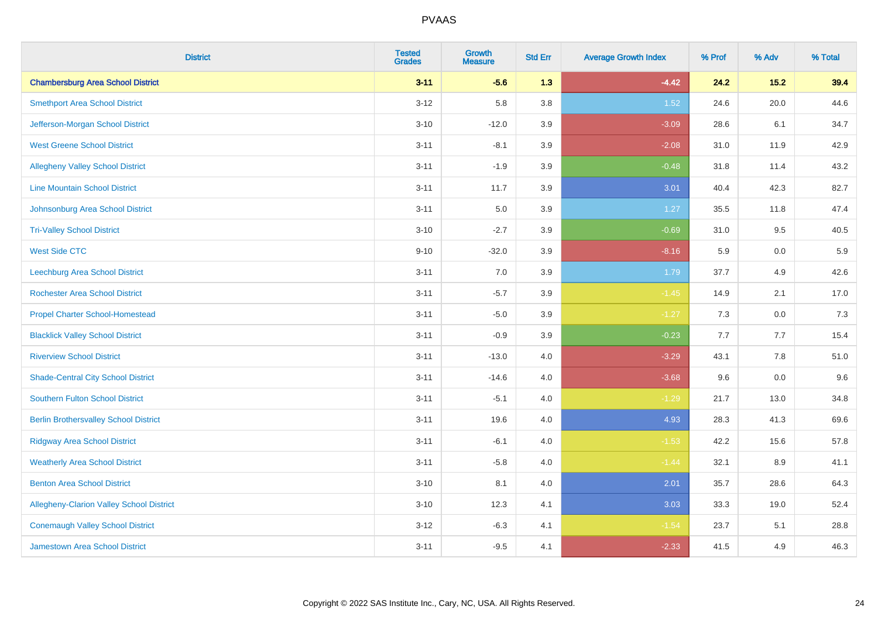| <b>District</b>                                 | <b>Tested</b><br><b>Grades</b> | <b>Growth</b><br><b>Measure</b> | <b>Std Err</b> | <b>Average Growth Index</b> | % Prof | % Adv   | % Total |
|-------------------------------------------------|--------------------------------|---------------------------------|----------------|-----------------------------|--------|---------|---------|
| <b>Chambersburg Area School District</b>        | $3 - 11$                       | $-5.6$                          | 1.3            | $-4.42$                     | 24.2   | 15.2    | 39.4    |
| <b>Smethport Area School District</b>           | $3 - 12$                       | 5.8                             | 3.8            | 1.52                        | 24.6   | 20.0    | 44.6    |
| Jefferson-Morgan School District                | $3 - 10$                       | $-12.0$                         | 3.9            | $-3.09$                     | 28.6   | 6.1     | 34.7    |
| <b>West Greene School District</b>              | $3 - 11$                       | $-8.1$                          | 3.9            | $-2.08$                     | 31.0   | 11.9    | 42.9    |
| <b>Allegheny Valley School District</b>         | $3 - 11$                       | $-1.9$                          | 3.9            | $-0.48$                     | 31.8   | 11.4    | 43.2    |
| <b>Line Mountain School District</b>            | $3 - 11$                       | 11.7                            | 3.9            | 3.01                        | 40.4   | 42.3    | 82.7    |
| Johnsonburg Area School District                | $3 - 11$                       | 5.0                             | 3.9            | 1.27                        | 35.5   | 11.8    | 47.4    |
| <b>Tri-Valley School District</b>               | $3 - 10$                       | $-2.7$                          | 3.9            | $-0.69$                     | 31.0   | 9.5     | 40.5    |
| <b>West Side CTC</b>                            | $9 - 10$                       | $-32.0$                         | 3.9            | $-8.16$                     | 5.9    | 0.0     | 5.9     |
| Leechburg Area School District                  | $3 - 11$                       | 7.0                             | 3.9            | 1.79                        | 37.7   | 4.9     | 42.6    |
| <b>Rochester Area School District</b>           | $3 - 11$                       | $-5.7$                          | 3.9            | $-1.45$                     | 14.9   | 2.1     | 17.0    |
| <b>Propel Charter School-Homestead</b>          | $3 - 11$                       | $-5.0$                          | 3.9            | $-1.27$                     | 7.3    | 0.0     | 7.3     |
| <b>Blacklick Valley School District</b>         | $3 - 11$                       | $-0.9$                          | 3.9            | $-0.23$                     | 7.7    | 7.7     | 15.4    |
| <b>Riverview School District</b>                | $3 - 11$                       | $-13.0$                         | 4.0            | $-3.29$                     | 43.1   | $7.8\,$ | 51.0    |
| <b>Shade-Central City School District</b>       | $3 - 11$                       | $-14.6$                         | 4.0            | $-3.68$                     | 9.6    | 0.0     | 9.6     |
| <b>Southern Fulton School District</b>          | $3 - 11$                       | $-5.1$                          | 4.0            | $-1.29$                     | 21.7   | 13.0    | 34.8    |
| <b>Berlin Brothersvalley School District</b>    | $3 - 11$                       | 19.6                            | 4.0            | 4.93                        | 28.3   | 41.3    | 69.6    |
| <b>Ridgway Area School District</b>             | $3 - 11$                       | $-6.1$                          | 4.0            | $-1.53$                     | 42.2   | 15.6    | 57.8    |
| <b>Weatherly Area School District</b>           | $3 - 11$                       | $-5.8$                          | 4.0            | $-1.44$                     | 32.1   | 8.9     | 41.1    |
| <b>Benton Area School District</b>              | $3 - 10$                       | 8.1                             | 4.0            | 2.01                        | 35.7   | 28.6    | 64.3    |
| <b>Allegheny-Clarion Valley School District</b> | $3 - 10$                       | 12.3                            | 4.1            | 3.03                        | 33.3   | 19.0    | 52.4    |
| <b>Conemaugh Valley School District</b>         | $3 - 12$                       | $-6.3$                          | 4.1            | $-1.54$                     | 23.7   | 5.1     | 28.8    |
| Jamestown Area School District                  | $3 - 11$                       | $-9.5$                          | 4.1            | $-2.33$                     | 41.5   | 4.9     | 46.3    |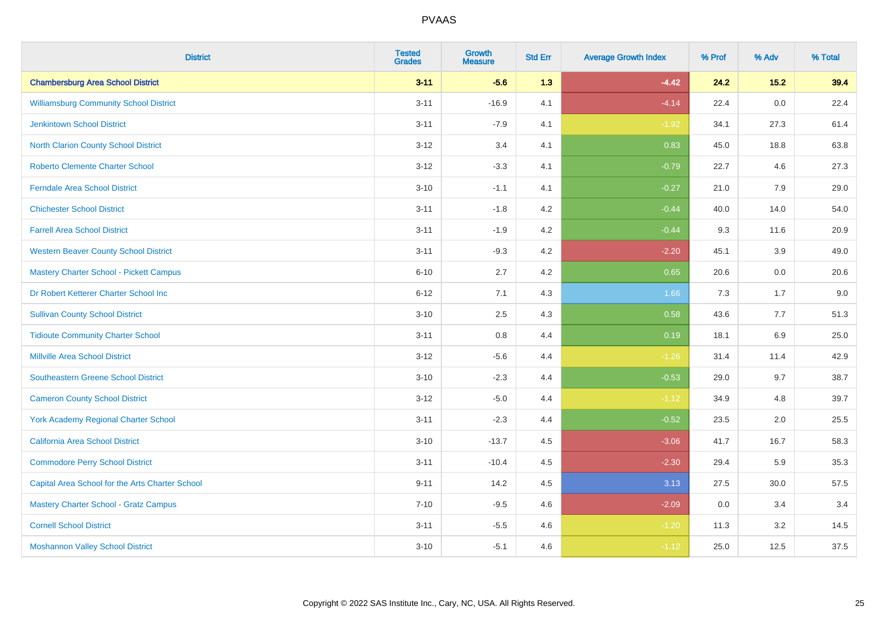| <b>District</b>                                 | <b>Tested</b><br><b>Grades</b> | <b>Growth</b><br><b>Measure</b> | <b>Std Err</b> | <b>Average Growth Index</b> | % Prof | % Adv   | % Total |
|-------------------------------------------------|--------------------------------|---------------------------------|----------------|-----------------------------|--------|---------|---------|
| <b>Chambersburg Area School District</b>        | $3 - 11$                       | $-5.6$                          | 1.3            | $-4.42$                     | 24.2   | 15.2    | 39.4    |
| <b>Williamsburg Community School District</b>   | $3 - 11$                       | $-16.9$                         | 4.1            | $-4.14$                     | 22.4   | 0.0     | 22.4    |
| <b>Jenkintown School District</b>               | $3 - 11$                       | $-7.9$                          | 4.1            | $-1.92$                     | 34.1   | 27.3    | 61.4    |
| North Clarion County School District            | $3 - 12$                       | 3.4                             | 4.1            | 0.83                        | 45.0   | 18.8    | 63.8    |
| <b>Roberto Clemente Charter School</b>          | $3 - 12$                       | $-3.3$                          | 4.1            | $-0.79$                     | 22.7   | 4.6     | 27.3    |
| <b>Ferndale Area School District</b>            | $3 - 10$                       | $-1.1$                          | 4.1            | $-0.27$                     | 21.0   | 7.9     | 29.0    |
| <b>Chichester School District</b>               | $3 - 11$                       | $-1.8$                          | 4.2            | $-0.44$                     | 40.0   | 14.0    | 54.0    |
| <b>Farrell Area School District</b>             | $3 - 11$                       | $-1.9$                          | 4.2            | $-0.44$                     | 9.3    | 11.6    | 20.9    |
| <b>Western Beaver County School District</b>    | $3 - 11$                       | $-9.3$                          | 4.2            | $-2.20$                     | 45.1   | 3.9     | 49.0    |
| Mastery Charter School - Pickett Campus         | $6 - 10$                       | 2.7                             | 4.2            | 0.65                        | 20.6   | 0.0     | 20.6    |
| Dr Robert Ketterer Charter School Inc           | $6 - 12$                       | 7.1                             | 4.3            | 1.66                        | 7.3    | 1.7     | 9.0     |
| <b>Sullivan County School District</b>          | $3 - 10$                       | 2.5                             | 4.3            | 0.58                        | 43.6   | 7.7     | 51.3    |
| <b>Tidioute Community Charter School</b>        | $3 - 11$                       | 0.8                             | 4.4            | 0.19                        | 18.1   | $6.9\,$ | 25.0    |
| <b>Millville Area School District</b>           | $3 - 12$                       | $-5.6$                          | 4.4            | $-1.26$                     | 31.4   | 11.4    | 42.9    |
| <b>Southeastern Greene School District</b>      | $3 - 10$                       | $-2.3$                          | 4.4            | $-0.53$                     | 29.0   | 9.7     | 38.7    |
| <b>Cameron County School District</b>           | $3 - 12$                       | $-5.0$                          | 4.4            | $-1.12$                     | 34.9   | 4.8     | 39.7    |
| York Academy Regional Charter School            | $3 - 11$                       | $-2.3$                          | 4.4            | $-0.52$                     | 23.5   | 2.0     | 25.5    |
| California Area School District                 | $3 - 10$                       | $-13.7$                         | 4.5            | $-3.06$                     | 41.7   | 16.7    | 58.3    |
| <b>Commodore Perry School District</b>          | $3 - 11$                       | $-10.4$                         | 4.5            | $-2.30$                     | 29.4   | 5.9     | 35.3    |
| Capital Area School for the Arts Charter School | $9 - 11$                       | 14.2                            | 4.5            | 3.13                        | 27.5   | 30.0    | 57.5    |
| <b>Mastery Charter School - Gratz Campus</b>    | $7 - 10$                       | $-9.5$                          | 4.6            | $-2.09$                     | 0.0    | 3.4     | 3.4     |
| <b>Cornell School District</b>                  | $3 - 11$                       | $-5.5$                          | 4.6            | $-1.20$                     | 11.3   | 3.2     | 14.5    |
| <b>Moshannon Valley School District</b>         | $3 - 10$                       | $-5.1$                          | 4.6            | $-1.12$                     | 25.0   | 12.5    | 37.5    |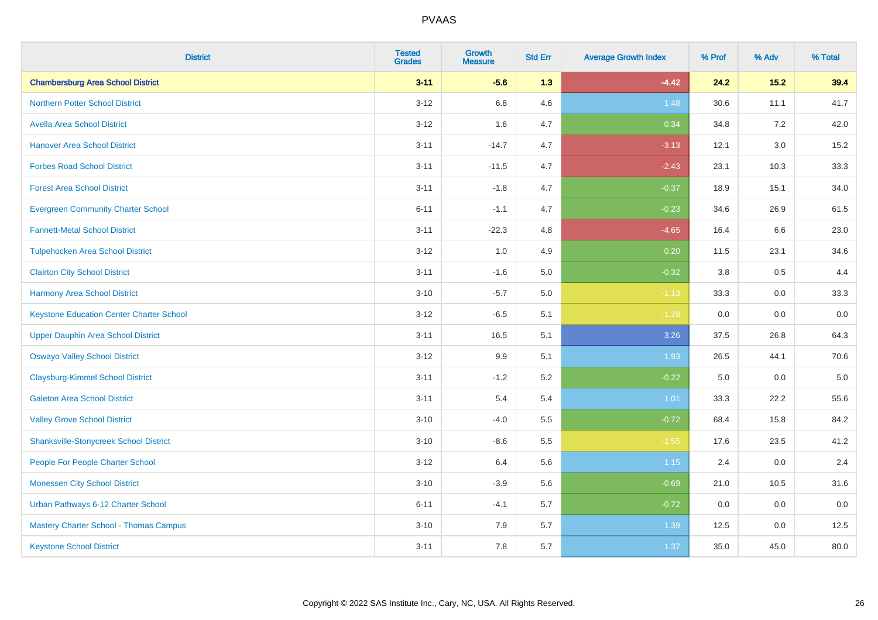| <b>District</b>                                 | <b>Tested</b><br><b>Grades</b> | <b>Growth</b><br><b>Measure</b> | <b>Std Err</b> | <b>Average Growth Index</b> | % Prof | % Adv   | % Total |
|-------------------------------------------------|--------------------------------|---------------------------------|----------------|-----------------------------|--------|---------|---------|
| <b>Chambersburg Area School District</b>        | $3 - 11$                       | $-5.6$                          | 1.3            | $-4.42$                     | 24.2   | $15.2$  | 39.4    |
| <b>Northern Potter School District</b>          | $3-12$                         | 6.8                             | 4.6            | 1.48                        | 30.6   | 11.1    | 41.7    |
| <b>Avella Area School District</b>              | $3 - 12$                       | 1.6                             | 4.7            | 0.34                        | 34.8   | 7.2     | 42.0    |
| <b>Hanover Area School District</b>             | $3 - 11$                       | $-14.7$                         | 4.7            | $-3.13$                     | 12.1   | $3.0\,$ | 15.2    |
| <b>Forbes Road School District</b>              | $3 - 11$                       | $-11.5$                         | 4.7            | $-2.43$                     | 23.1   | 10.3    | 33.3    |
| <b>Forest Area School District</b>              | $3 - 11$                       | $-1.8$                          | 4.7            | $-0.37$                     | 18.9   | 15.1    | 34.0    |
| <b>Evergreen Community Charter School</b>       | $6 - 11$                       | $-1.1$                          | 4.7            | $-0.23$                     | 34.6   | 26.9    | 61.5    |
| <b>Fannett-Metal School District</b>            | $3 - 11$                       | $-22.3$                         | 4.8            | $-4.65$                     | 16.4   | 6.6     | 23.0    |
| <b>Tulpehocken Area School District</b>         | $3 - 12$                       | 1.0                             | 4.9            | 0.20                        | 11.5   | 23.1    | 34.6    |
| <b>Clairton City School District</b>            | $3 - 11$                       | $-1.6$                          | 5.0            | $-0.32$                     | 3.8    | 0.5     | 4.4     |
| <b>Harmony Area School District</b>             | $3 - 10$                       | $-5.7$                          | 5.0            | $-1.13$                     | 33.3   | 0.0     | 33.3    |
| <b>Keystone Education Center Charter School</b> | $3 - 12$                       | $-6.5$                          | 5.1            | $-1.28$                     | 0.0    | 0.0     | 0.0     |
| <b>Upper Dauphin Area School District</b>       | $3 - 11$                       | 16.5                            | 5.1            | 3.26                        | 37.5   | 26.8    | 64.3    |
| <b>Oswayo Valley School District</b>            | $3 - 12$                       | 9.9                             | 5.1            | 1.93                        | 26.5   | 44.1    | 70.6    |
| <b>Claysburg-Kimmel School District</b>         | $3 - 11$                       | $-1.2$                          | 5.2            | $-0.22$                     | 5.0    | 0.0     | $5.0$   |
| <b>Galeton Area School District</b>             | $3 - 11$                       | 5.4                             | 5.4            | 1.01                        | 33.3   | 22.2    | 55.6    |
| <b>Valley Grove School District</b>             | $3 - 10$                       | $-4.0$                          | 5.5            | $-0.72$                     | 68.4   | 15.8    | 84.2    |
| <b>Shanksville-Stonycreek School District</b>   | $3 - 10$                       | $-8.6$                          | 5.5            | $-1.55$                     | 17.6   | 23.5    | 41.2    |
| People For People Charter School                | $3 - 12$                       | 6.4                             | 5.6            | 1.15                        | 2.4    | 0.0     | 2.4     |
| <b>Monessen City School District</b>            | $3 - 10$                       | $-3.9$                          | 5.6            | $-0.69$                     | 21.0   | 10.5    | 31.6    |
| Urban Pathways 6-12 Charter School              | $6 - 11$                       | $-4.1$                          | 5.7            | $-0.72$                     | 0.0    | 0.0     | 0.0     |
| Mastery Charter School - Thomas Campus          | $3 - 10$                       | 7.9                             | 5.7            | 1.39                        | 12.5   | 0.0     | 12.5    |
| <b>Keystone School District</b>                 | $3 - 11$                       | 7.8                             | 5.7            | 1.37                        | 35.0   | 45.0    | 80.0    |